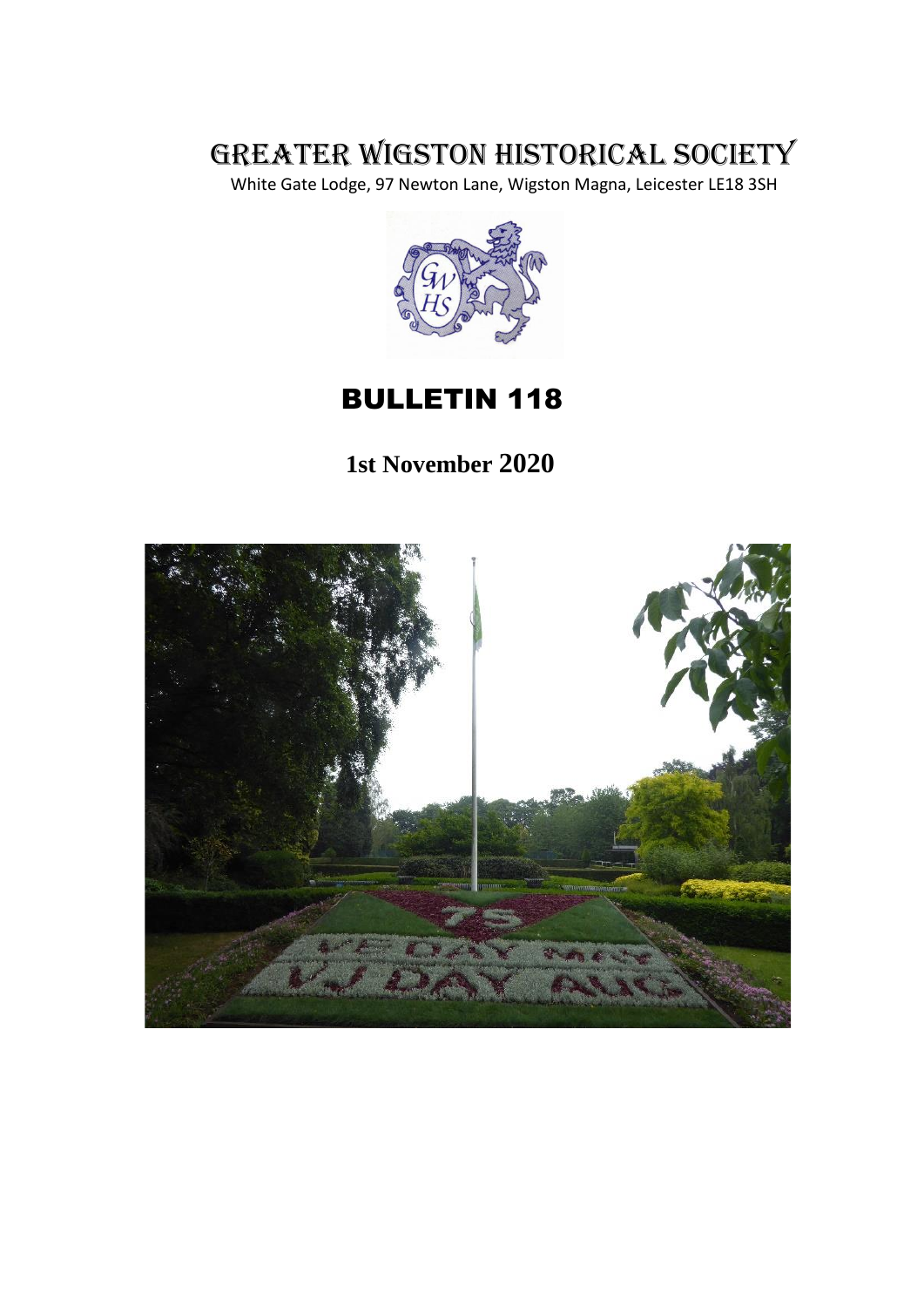# GREATER WIGSTON HISTORICAL SOCIETY

White Gate Lodge, 97 Newton Lane, Wigston Magna, Leicester LE18 3SH



# BULLETIN 118

 **1st November 2020**

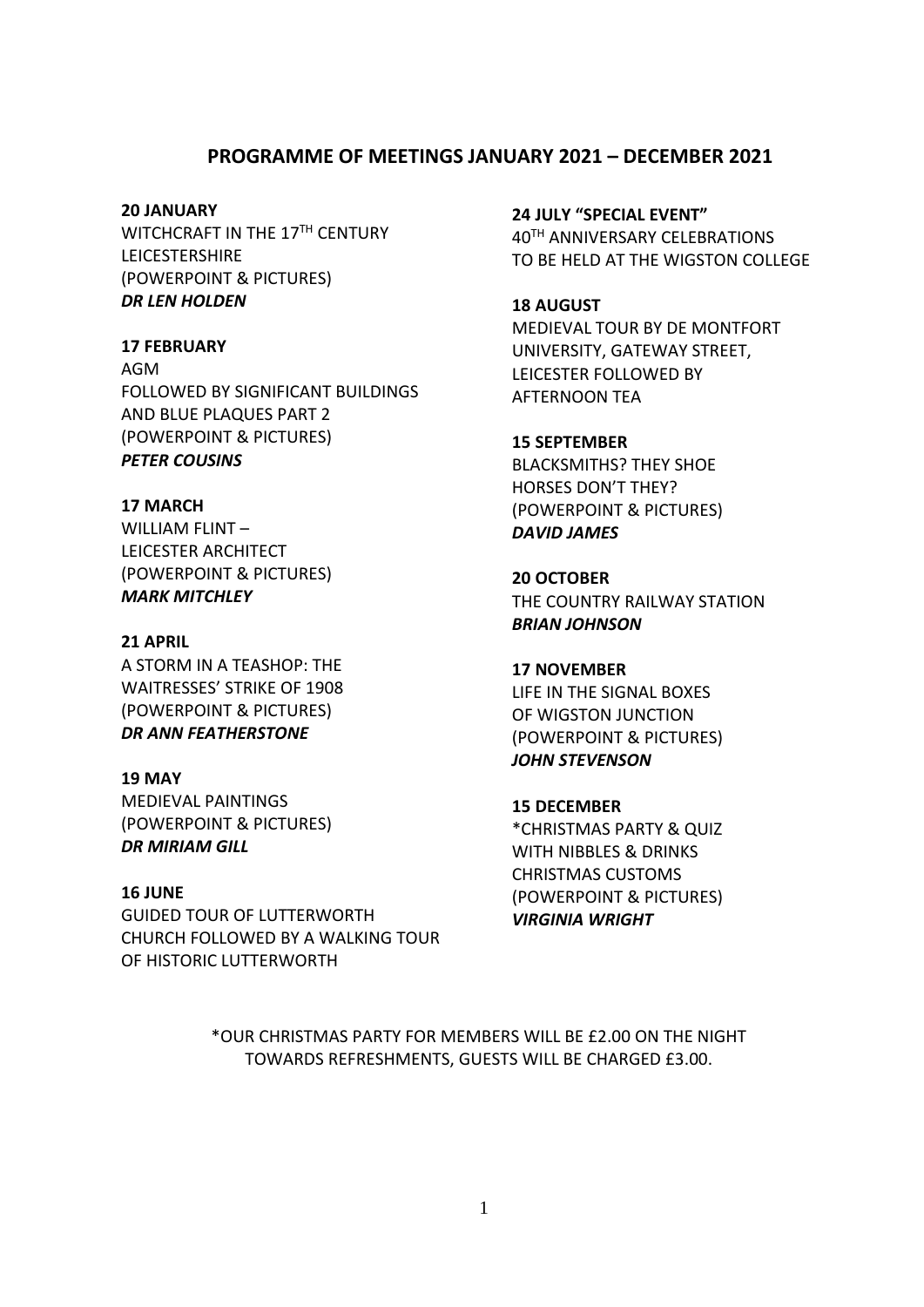#### **PROGRAMME OF MEETINGS JANUARY 2021 – DECEMBER 2021**

#### **20 JANUARY**

WITCHCRAFT IN THE 17TH CENTURY LEICESTERSHIRE (POWERPOINT & PICTURES) *DR LEN HOLDEN*

#### **17 FEBRUARY**

AGM FOLLOWED BY SIGNIFICANT BUILDINGS AND BLUE PLAQUES PART 2 (POWERPOINT & PICTURES) *PETER COUSINS*

#### **17 MARCH**

WILLIAM FLINT – LEICESTER ARCHITECT (POWERPOINT & PICTURES) *MARK MITCHLEY*

#### **21 APRIL**

A STORM IN A TEASHOP: THE WAITRESSES' STRIKE OF 1908 (POWERPOINT & PICTURES) *DR ANN FEATHERSTONE*

#### **19 MAY**

MEDIEVAL PAINTINGS (POWERPOINT & PICTURES) *DR MIRIAM GILL*

#### **16 JUNE**

GUIDED TOUR OF LUTTERWORTH CHURCH FOLLOWED BY A WALKING TOUR OF HISTORIC LUTTERWORTH

**24 JULY "SPECIAL EVENT"** 40TH ANNIVERSARY CELEBRATIONS TO BE HELD AT THE WIGSTON COLLEGE

### **18 AUGUST** MEDIEVAL TOUR BY DE MONTFORT UNIVERSITY, GATEWAY STREET, LEICESTER FOLLOWED BY AFTERNOON TEA

#### **15 SEPTEMBER**

BLACKSMITHS? THEY SHOE HORSES DON'T THEY? (POWERPOINT & PICTURES) *DAVID JAMES*

**20 OCTOBER** THE COUNTRY RAILWAY STATION *BRIAN JOHNSON*

#### **17 NOVEMBER**

LIFE IN THE SIGNAL BOXES OF WIGSTON JUNCTION (POWERPOINT & PICTURES) *JOHN STEVENSON*

**15 DECEMBER** \*CHRISTMAS PARTY & QUIZ WITH NIBBLES & DRINKS CHRISTMAS CUSTOMS (POWERPOINT & PICTURES) *VIRGINIA WRIGHT*

\*OUR CHRISTMAS PARTY FOR MEMBERS WILL BE £2.00 ON THE NIGHT TOWARDS REFRESHMENTS, GUESTS WILL BE CHARGED £3.00.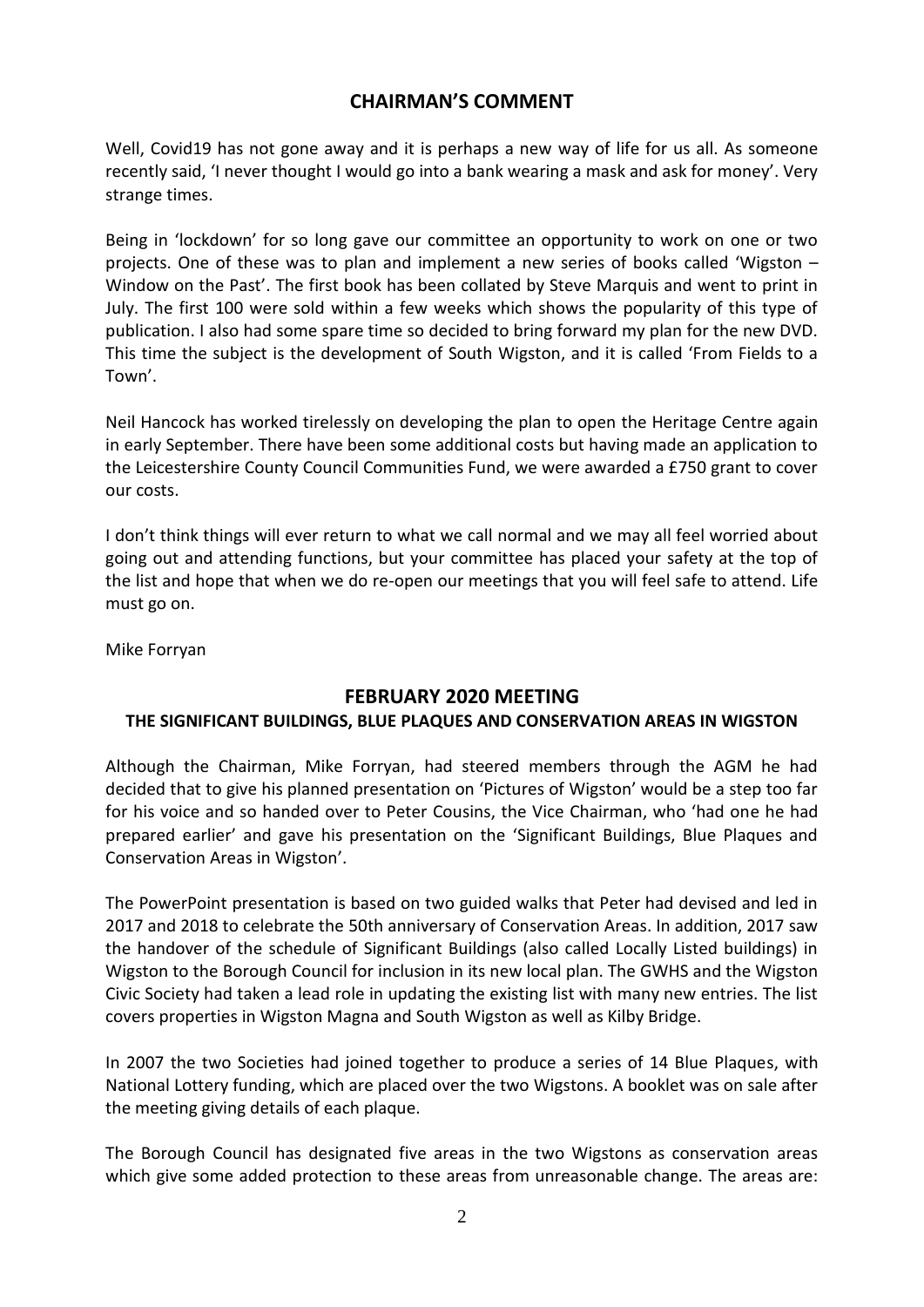### **CHAIRMAN'S COMMENT**

Well, Covid19 has not gone away and it is perhaps a new way of life for us all. As someone recently said, 'I never thought I would go into a bank wearing a mask and ask for money'. Very strange times.

Being in 'lockdown' for so long gave our committee an opportunity to work on one or two projects. One of these was to plan and implement a new series of books called 'Wigston – Window on the Past'. The first book has been collated by Steve Marquis and went to print in July. The first 100 were sold within a few weeks which shows the popularity of this type of publication. I also had some spare time so decided to bring forward my plan for the new DVD. This time the subject is the development of South Wigston, and it is called 'From Fields to a Town'.

Neil Hancock has worked tirelessly on developing the plan to open the Heritage Centre again in early September. There have been some additional costs but having made an application to the Leicestershire County Council Communities Fund, we were awarded a £750 grant to cover our costs.

I don't think things will ever return to what we call normal and we may all feel worried about going out and attending functions, but your committee has placed your safety at the top of the list and hope that when we do re-open our meetings that you will feel safe to attend. Life must go on.

Mike Forryan

### **FEBRUARY 2020 MEETING**

#### **THE SIGNIFICANT BUILDINGS, BLUE PLAQUES AND CONSERVATION AREAS IN WIGSTON**

Although the Chairman, Mike Forryan, had steered members through the AGM he had decided that to give his planned presentation on 'Pictures of Wigston' would be a step too far for his voice and so handed over to Peter Cousins, the Vice Chairman, who 'had one he had prepared earlier' and gave his presentation on the 'Significant Buildings, Blue Plaques and Conservation Areas in Wigston'.

The PowerPoint presentation is based on two guided walks that Peter had devised and led in 2017 and 2018 to celebrate the 50th anniversary of Conservation Areas. In addition, 2017 saw the handover of the schedule of Significant Buildings (also called Locally Listed buildings) in Wigston to the Borough Council for inclusion in its new local plan. The GWHS and the Wigston Civic Society had taken a lead role in updating the existing list with many new entries. The list covers properties in Wigston Magna and South Wigston as well as Kilby Bridge.

In 2007 the two Societies had joined together to produce a series of 14 Blue Plaques, with National Lottery funding, which are placed over the two Wigstons. A booklet was on sale after the meeting giving details of each plaque.

The Borough Council has designated five areas in the two Wigstons as conservation areas which give some added protection to these areas from unreasonable change. The areas are: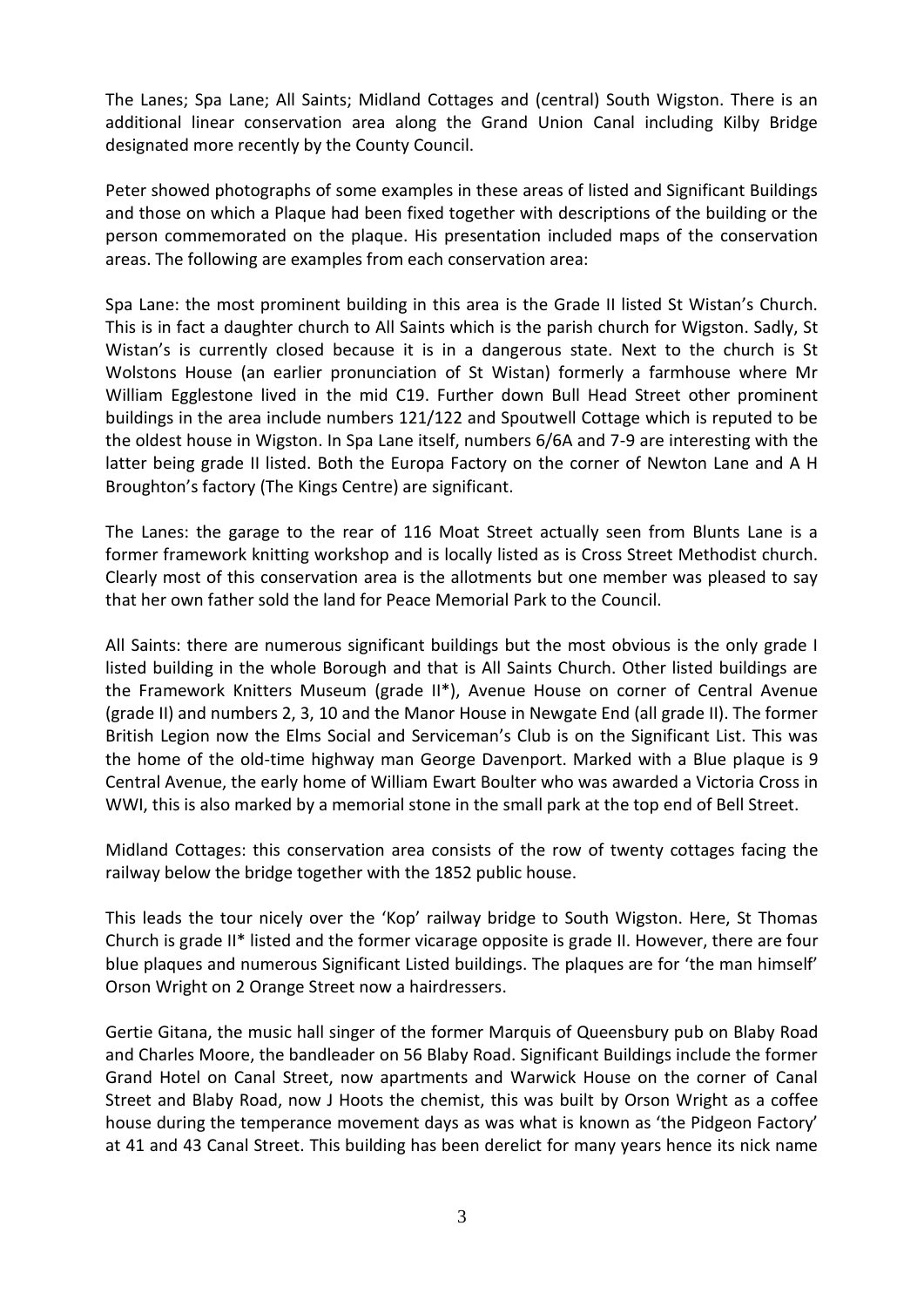The Lanes; Spa Lane; All Saints; Midland Cottages and (central) South Wigston. There is an additional linear conservation area along the Grand Union Canal including Kilby Bridge designated more recently by the County Council.

Peter showed photographs of some examples in these areas of listed and Significant Buildings and those on which a Plaque had been fixed together with descriptions of the building or the person commemorated on the plaque. His presentation included maps of the conservation areas. The following are examples from each conservation area:

Spa Lane: the most prominent building in this area is the Grade II listed St Wistan's Church. This is in fact a daughter church to All Saints which is the parish church for Wigston. Sadly, St Wistan's is currently closed because it is in a dangerous state. Next to the church is St Wolstons House (an earlier pronunciation of St Wistan) formerly a farmhouse where Mr William Egglestone lived in the mid C19. Further down Bull Head Street other prominent buildings in the area include numbers 121/122 and Spoutwell Cottage which is reputed to be the oldest house in Wigston. In Spa Lane itself, numbers 6/6A and 7-9 are interesting with the latter being grade II listed. Both the Europa Factory on the corner of Newton Lane and A H Broughton's factory (The Kings Centre) are significant.

The Lanes: the garage to the rear of 116 Moat Street actually seen from Blunts Lane is a former framework knitting workshop and is locally listed as is Cross Street Methodist church. Clearly most of this conservation area is the allotments but one member was pleased to say that her own father sold the land for Peace Memorial Park to the Council.

All Saints: there are numerous significant buildings but the most obvious is the only grade I listed building in the whole Borough and that is All Saints Church. Other listed buildings are the Framework Knitters Museum (grade II\*), Avenue House on corner of Central Avenue (grade II) and numbers 2, 3, 10 and the Manor House in Newgate End (all grade II). The former British Legion now the Elms Social and Serviceman's Club is on the Significant List. This was the home of the old-time highway man George Davenport. Marked with a Blue plaque is 9 Central Avenue, the early home of William Ewart Boulter who was awarded a Victoria Cross in WWI, this is also marked by a memorial stone in the small park at the top end of Bell Street.

Midland Cottages: this conservation area consists of the row of twenty cottages facing the railway below the bridge together with the 1852 public house.

This leads the tour nicely over the 'Kop' railway bridge to South Wigston. Here, St Thomas Church is grade II\* listed and the former vicarage opposite is grade II. However, there are four blue plaques and numerous Significant Listed buildings. The plaques are for 'the man himself' Orson Wright on 2 Orange Street now a hairdressers.

Gertie Gitana, the music hall singer of the former Marquis of Queensbury pub on Blaby Road and Charles Moore, the bandleader on 56 Blaby Road. Significant Buildings include the former Grand Hotel on Canal Street, now apartments and Warwick House on the corner of Canal Street and Blaby Road, now J Hoots the chemist, this was built by Orson Wright as a coffee house during the temperance movement days as was what is known as 'the Pidgeon Factory' at 41 and 43 Canal Street. This building has been derelict for many years hence its nick name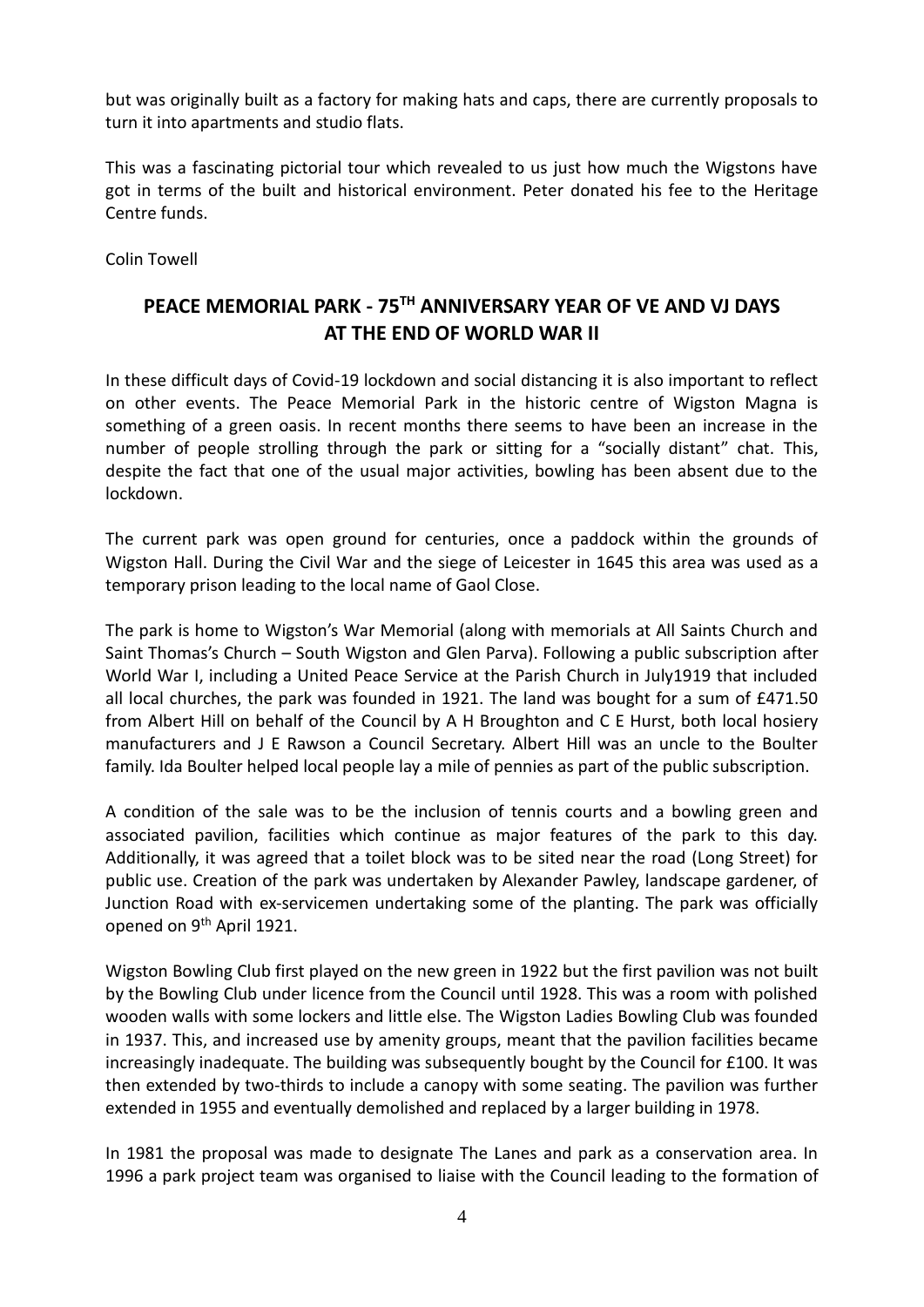but was originally built as a factory for making hats and caps, there are currently proposals to turn it into apartments and studio flats.

This was a fascinating pictorial tour which revealed to us just how much the Wigstons have got in terms of the built and historical environment. Peter donated his fee to the Heritage Centre funds.

Colin Towell

## **PEACE MEMORIAL PARK - 75TH ANNIVERSARY YEAR OF VE AND VJ DAYS AT THE END OF WORLD WAR II**

In these difficult days of Covid-19 lockdown and social distancing it is also important to reflect on other events. The Peace Memorial Park in the historic centre of Wigston Magna is something of a green oasis. In recent months there seems to have been an increase in the number of people strolling through the park or sitting for a "socially distant" chat. This, despite the fact that one of the usual major activities, bowling has been absent due to the lockdown.

The current park was open ground for centuries, once a paddock within the grounds of Wigston Hall. During the Civil War and the siege of Leicester in 1645 this area was used as a temporary prison leading to the local name of Gaol Close.

The park is home to Wigston's War Memorial (along with memorials at All Saints Church and Saint Thomas's Church – South Wigston and Glen Parva). Following a public subscription after World War I, including a United Peace Service at the Parish Church in July1919 that included all local churches, the park was founded in 1921. The land was bought for a sum of £471.50 from Albert Hill on behalf of the Council by A H Broughton and C E Hurst, both local hosiery manufacturers and J E Rawson a Council Secretary. Albert Hill was an uncle to the Boulter family. Ida Boulter helped local people lay a mile of pennies as part of the public subscription.

A condition of the sale was to be the inclusion of tennis courts and a bowling green and associated pavilion, facilities which continue as major features of the park to this day. Additionally, it was agreed that a toilet block was to be sited near the road (Long Street) for public use. Creation of the park was undertaken by Alexander Pawley, landscape gardener, of Junction Road with ex-servicemen undertaking some of the planting. The park was officially opened on 9<sup>th</sup> April 1921.

Wigston Bowling Club first played on the new green in 1922 but the first pavilion was not built by the Bowling Club under licence from the Council until 1928. This was a room with polished wooden walls with some lockers and little else. The Wigston Ladies Bowling Club was founded in 1937. This, and increased use by amenity groups, meant that the pavilion facilities became increasingly inadequate. The building was subsequently bought by the Council for £100. It was then extended by two-thirds to include a canopy with some seating. The pavilion was further extended in 1955 and eventually demolished and replaced by a larger building in 1978.

In 1981 the proposal was made to designate The Lanes and park as a conservation area. In 1996 a park project team was organised to liaise with the Council leading to the formation of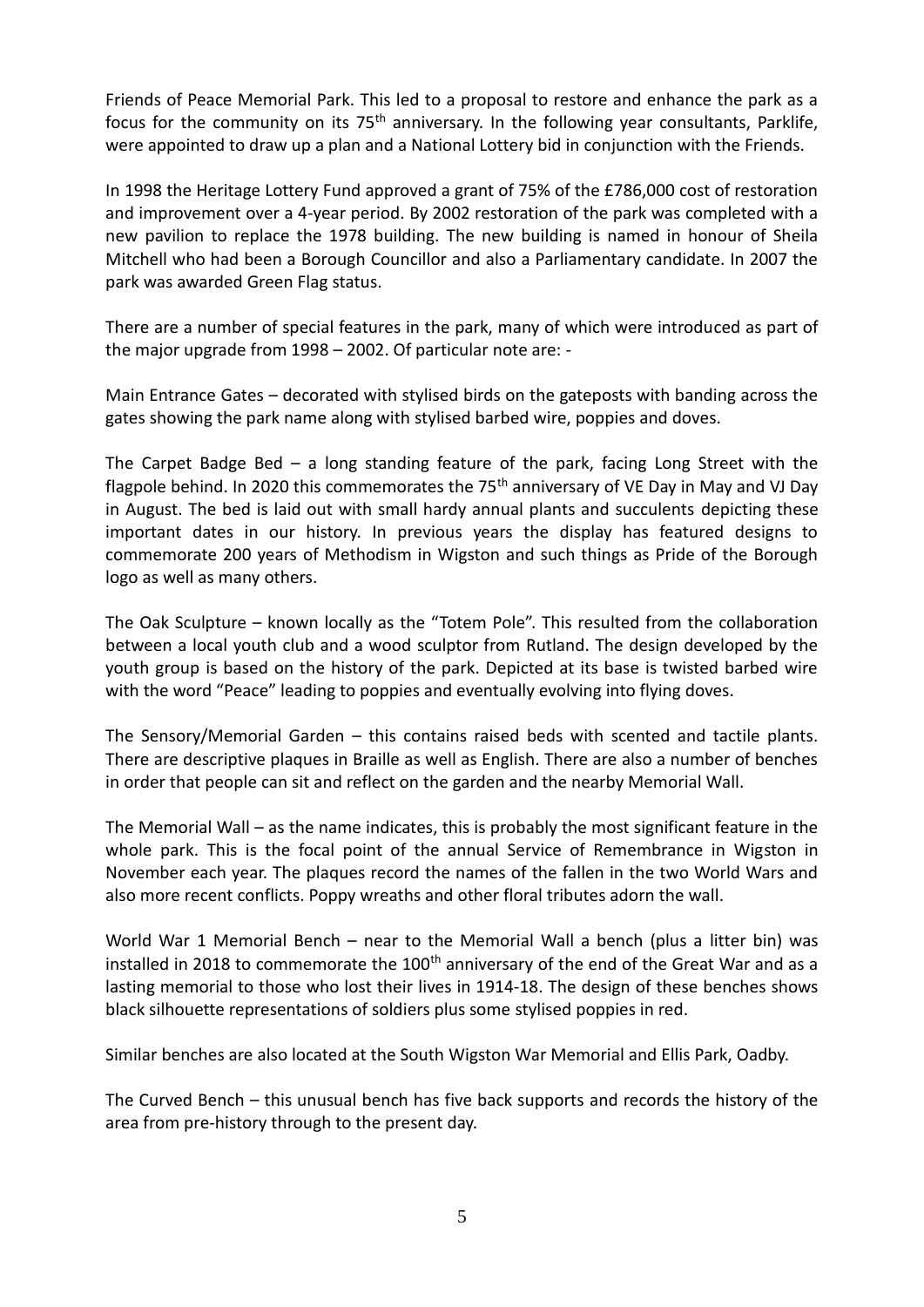Friends of Peace Memorial Park. This led to a proposal to restore and enhance the park as a focus for the community on its  $75<sup>th</sup>$  anniversary. In the following year consultants, Parklife, were appointed to draw up a plan and a National Lottery bid in conjunction with the Friends.

In 1998 the Heritage Lottery Fund approved a grant of 75% of the £786,000 cost of restoration and improvement over a 4-year period. By 2002 restoration of the park was completed with a new pavilion to replace the 1978 building. The new building is named in honour of Sheila Mitchell who had been a Borough Councillor and also a Parliamentary candidate. In 2007 the park was awarded Green Flag status.

There are a number of special features in the park, many of which were introduced as part of the major upgrade from 1998 – 2002. Of particular note are: -

Main Entrance Gates – decorated with stylised birds on the gateposts with banding across the gates showing the park name along with stylised barbed wire, poppies and doves.

The Carpet Badge Bed – a long standing feature of the park, facing Long Street with the flagpole behind. In 2020 this commemorates the  $75<sup>th</sup>$  anniversary of VE Day in May and VJ Day in August. The bed is laid out with small hardy annual plants and succulents depicting these important dates in our history. In previous years the display has featured designs to commemorate 200 years of Methodism in Wigston and such things as Pride of the Borough logo as well as many others.

The Oak Sculpture – known locally as the "Totem Pole". This resulted from the collaboration between a local youth club and a wood sculptor from Rutland. The design developed by the youth group is based on the history of the park. Depicted at its base is twisted barbed wire with the word "Peace" leading to poppies and eventually evolving into flying doves.

The Sensory/Memorial Garden – this contains raised beds with scented and tactile plants. There are descriptive plaques in Braille as well as English. There are also a number of benches in order that people can sit and reflect on the garden and the nearby Memorial Wall.

The Memorial Wall – as the name indicates, this is probably the most significant feature in the whole park. This is the focal point of the annual Service of Remembrance in Wigston in November each year. The plaques record the names of the fallen in the two World Wars and also more recent conflicts. Poppy wreaths and other floral tributes adorn the wall.

World War 1 Memorial Bench – near to the Memorial Wall a bench (plus a litter bin) was installed in 2018 to commemorate the  $100<sup>th</sup>$  anniversary of the end of the Great War and as a lasting memorial to those who lost their lives in 1914-18. The design of these benches shows black silhouette representations of soldiers plus some stylised poppies in red.

Similar benches are also located at the South Wigston War Memorial and Ellis Park, Oadby.

The Curved Bench – this unusual bench has five back supports and records the history of the area from pre-history through to the present day.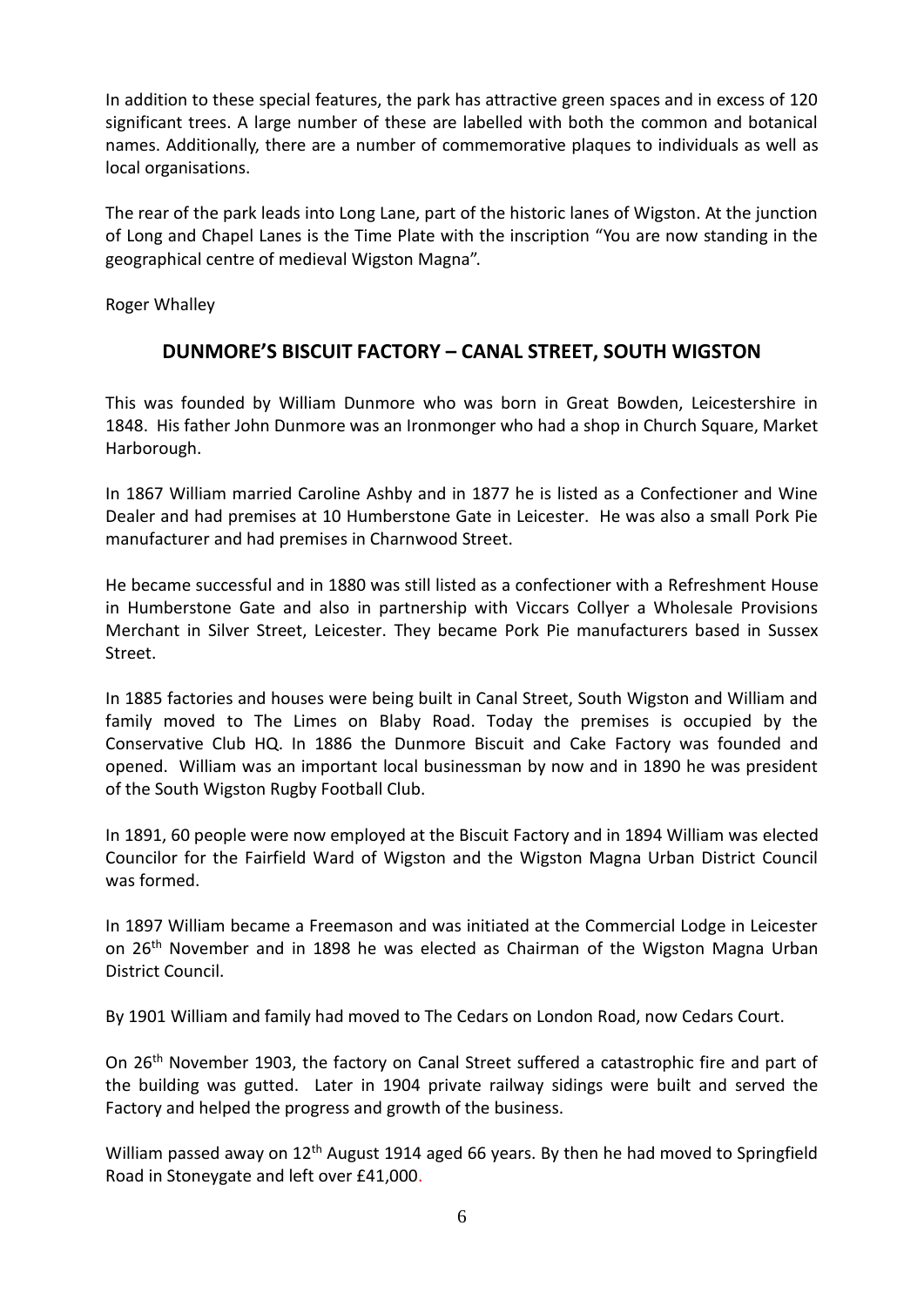In addition to these special features, the park has attractive green spaces and in excess of 120 significant trees. A large number of these are labelled with both the common and botanical names. Additionally, there are a number of commemorative plaques to individuals as well as local organisations.

The rear of the park leads into Long Lane, part of the historic lanes of Wigston. At the junction of Long and Chapel Lanes is the Time Plate with the inscription "You are now standing in the geographical centre of medieval Wigston Magna".

Roger Whalley

## **DUNMORE'S BISCUIT FACTORY – CANAL STREET, SOUTH WIGSTON**

This was founded by William Dunmore who was born in Great Bowden, Leicestershire in 1848. His father John Dunmore was an Ironmonger who had a shop in Church Square, Market Harborough.

In 1867 William married Caroline Ashby and in 1877 he is listed as a Confectioner and Wine Dealer and had premises at 10 Humberstone Gate in Leicester. He was also a small Pork Pie manufacturer and had premises in Charnwood Street.

He became successful and in 1880 was still listed as a confectioner with a Refreshment House in Humberstone Gate and also in partnership with Viccars Collyer a Wholesale Provisions Merchant in Silver Street, Leicester. They became Pork Pie manufacturers based in Sussex Street.

In 1885 factories and houses were being built in Canal Street, South Wigston and William and family moved to The Limes on Blaby Road. Today the premises is occupied by the Conservative Club HQ. In 1886 the Dunmore Biscuit and Cake Factory was founded and opened. William was an important local businessman by now and in 1890 he was president of the South Wigston Rugby Football Club.

In 1891, 60 people were now employed at the Biscuit Factory and in 1894 William was elected Councilor for the Fairfield Ward of Wigston and the Wigston Magna Urban District Council was formed.

In 1897 William became a Freemason and was initiated at the Commercial Lodge in Leicester on 26th November and in 1898 he was elected as Chairman of the Wigston Magna Urban District Council.

By 1901 William and family had moved to The Cedars on London Road, now Cedars Court.

On 26th November 1903, the factory on Canal Street suffered a catastrophic fire and part of the building was gutted. Later in 1904 private railway sidings were built and served the Factory and helped the progress and growth of the business.

William passed away on 12<sup>th</sup> August 1914 aged 66 years. By then he had moved to Springfield Road in Stoneygate and left over £41,000.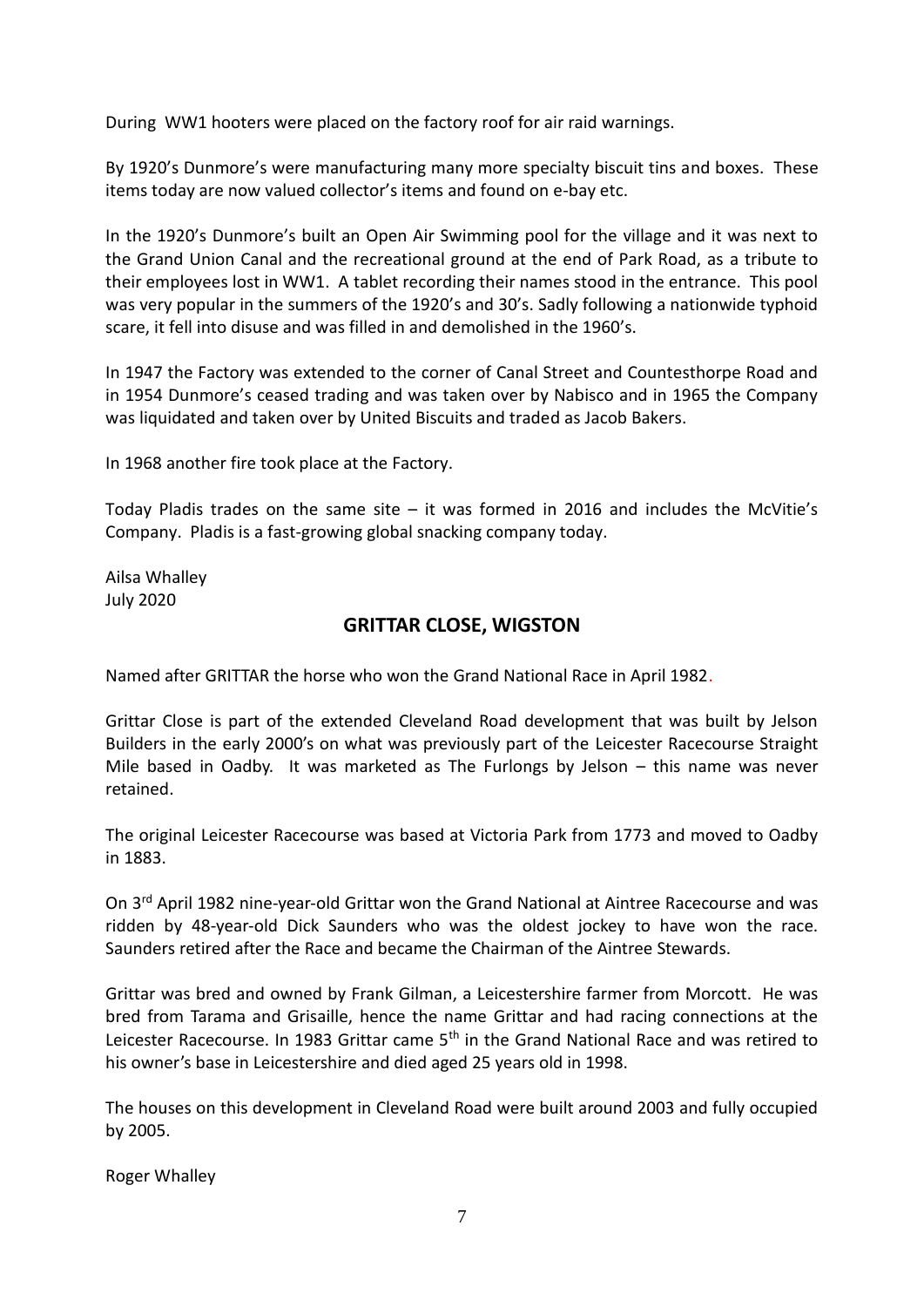During WW1 hooters were placed on the factory roof for air raid warnings.

By 1920's Dunmore's were manufacturing many more specialty biscuit tins and boxes. These items today are now valued collector's items and found on e-bay etc.

In the 1920's Dunmore's built an Open Air Swimming pool for the village and it was next to the Grand Union Canal and the recreational ground at the end of Park Road, as a tribute to their employees lost in WW1. A tablet recording their names stood in the entrance. This pool was very popular in the summers of the 1920's and 30's. Sadly following a nationwide typhoid scare, it fell into disuse and was filled in and demolished in the 1960's.

In 1947 the Factory was extended to the corner of Canal Street and Countesthorpe Road and in 1954 Dunmore's ceased trading and was taken over by Nabisco and in 1965 the Company was liquidated and taken over by United Biscuits and traded as Jacob Bakers.

In 1968 another fire took place at the Factory.

Today Pladis trades on the same site  $-$  it was formed in 2016 and includes the McVitie's Company. Pladis is a fast-growing global snacking company today.

Ailsa Whalley July 2020

### **GRITTAR CLOSE, WIGSTON**

Named after GRITTAR the horse who won the Grand National Race in April 1982.

Grittar Close is part of the extended Cleveland Road development that was built by Jelson Builders in the early 2000's on what was previously part of the Leicester Racecourse Straight Mile based in Oadby. It was marketed as The Furlongs by Jelson – this name was never retained.

The original Leicester Racecourse was based at Victoria Park from 1773 and moved to Oadby in 1883.

On 3<sup>rd</sup> April 1982 nine-year-old Grittar won the Grand National at Aintree Racecourse and was ridden by 48-year-old Dick Saunders who was the oldest jockey to have won the race. Saunders retired after the Race and became the Chairman of the Aintree Stewards.

Grittar was bred and owned by Frank Gilman, a Leicestershire farmer from Morcott. He was bred from Tarama and Grisaille, hence the name Grittar and had racing connections at the Leicester Racecourse. In 1983 Grittar came  $5<sup>th</sup>$  in the Grand National Race and was retired to his owner's base in Leicestershire and died aged 25 years old in 1998.

The houses on this development in Cleveland Road were built around 2003 and fully occupied by 2005.

Roger Whalley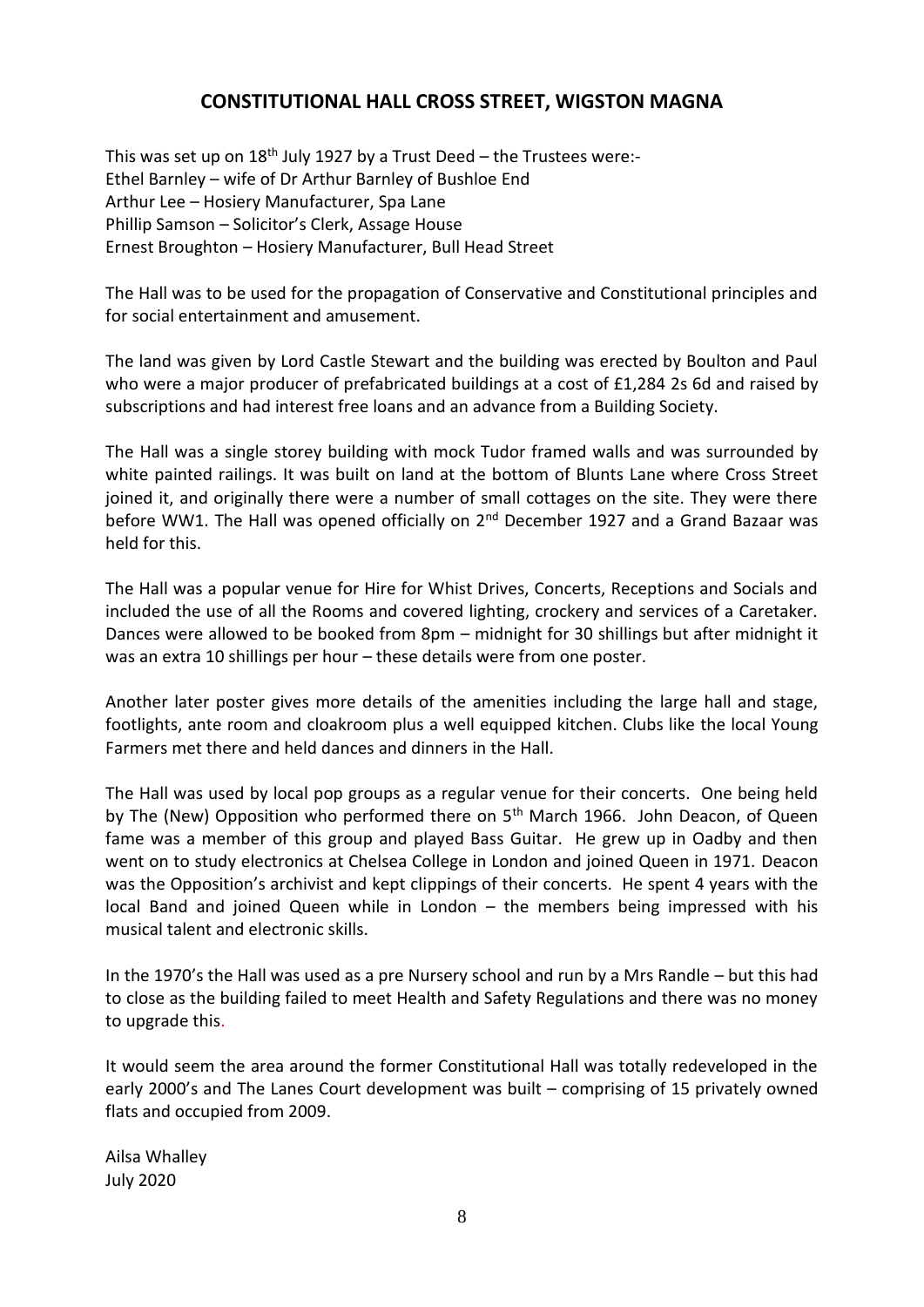### **CONSTITUTIONAL HALL CROSS STREET, WIGSTON MAGNA**

This was set up on  $18<sup>th</sup>$  July 1927 by a Trust Deed – the Trustees were:-Ethel Barnley – wife of Dr Arthur Barnley of Bushloe End Arthur Lee – Hosiery Manufacturer, Spa Lane Phillip Samson – Solicitor's Clerk, Assage House Ernest Broughton – Hosiery Manufacturer, Bull Head Street

The Hall was to be used for the propagation of Conservative and Constitutional principles and for social entertainment and amusement.

The land was given by Lord Castle Stewart and the building was erected by Boulton and Paul who were a major producer of prefabricated buildings at a cost of £1,284 2s 6d and raised by subscriptions and had interest free loans and an advance from a Building Society.

The Hall was a single storey building with mock Tudor framed walls and was surrounded by white painted railings. It was built on land at the bottom of Blunts Lane where Cross Street joined it, and originally there were a number of small cottages on the site. They were there before WW1. The Hall was opened officially on 2<sup>nd</sup> December 1927 and a Grand Bazaar was held for this.

The Hall was a popular venue for Hire for Whist Drives, Concerts, Receptions and Socials and included the use of all the Rooms and covered lighting, crockery and services of a Caretaker. Dances were allowed to be booked from 8pm – midnight for 30 shillings but after midnight it was an extra 10 shillings per hour – these details were from one poster.

Another later poster gives more details of the amenities including the large hall and stage, footlights, ante room and cloakroom plus a well equipped kitchen. Clubs like the local Young Farmers met there and held dances and dinners in the Hall.

The Hall was used by local pop groups as a regular venue for their concerts. One being held by The (New) Opposition who performed there on 5<sup>th</sup> March 1966. John Deacon, of Queen fame was a member of this group and played Bass Guitar. He grew up in Oadby and then went on to study electronics at Chelsea College in London and joined Queen in 1971. Deacon was the Opposition's archivist and kept clippings of their concerts. He spent 4 years with the local Band and joined Queen while in London – the members being impressed with his musical talent and electronic skills.

In the 1970's the Hall was used as a pre Nursery school and run by a Mrs Randle – but this had to close as the building failed to meet Health and Safety Regulations and there was no money to upgrade this.

It would seem the area around the former Constitutional Hall was totally redeveloped in the early 2000's and The Lanes Court development was built – comprising of 15 privately owned flats and occupied from 2009.

Ailsa Whalley July 2020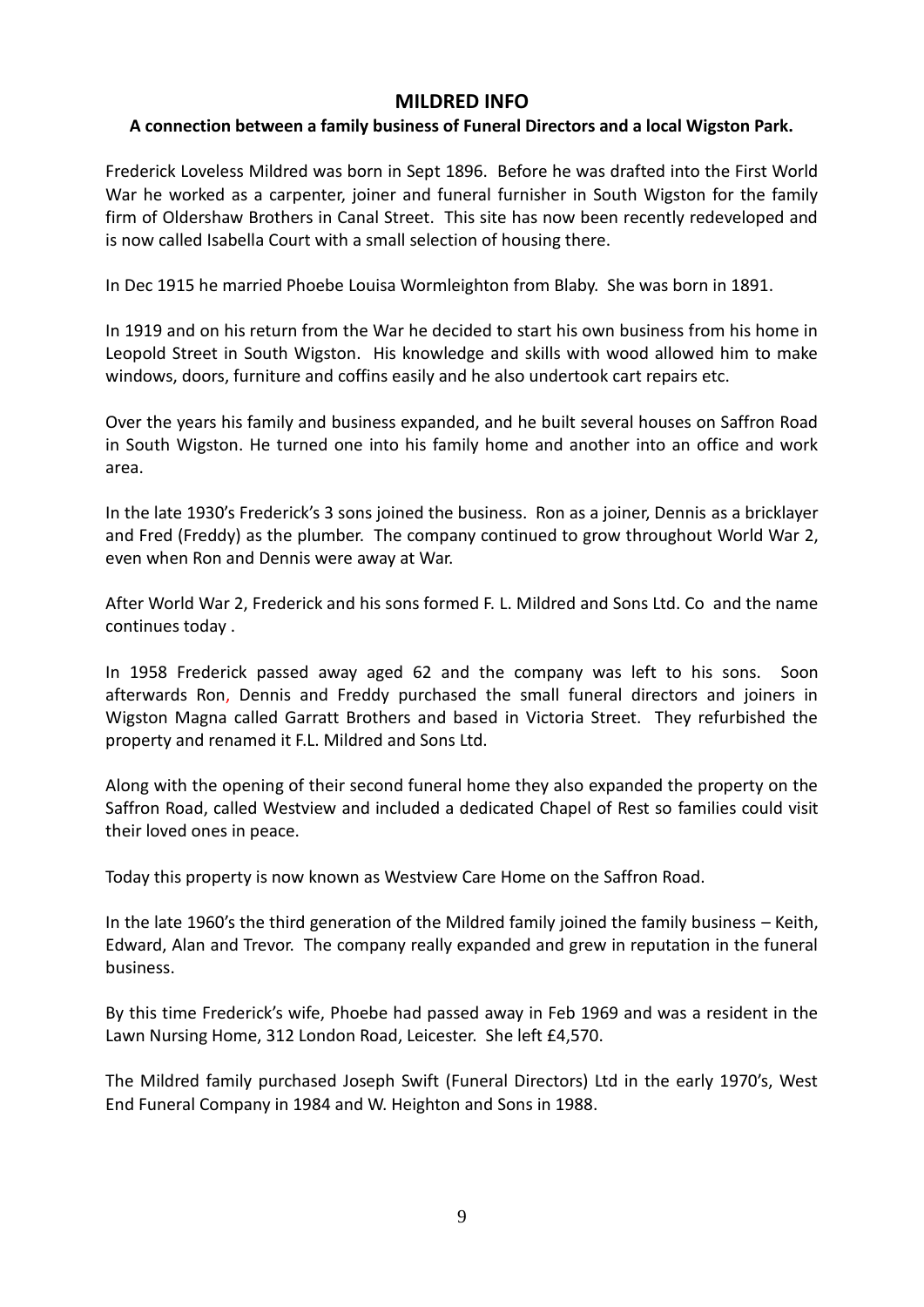### **MILDRED INFO**

### **A connection between a family business of Funeral Directors and a local Wigston Park.**

Frederick Loveless Mildred was born in Sept 1896. Before he was drafted into the First World War he worked as a carpenter, joiner and funeral furnisher in South Wigston for the family firm of Oldershaw Brothers in Canal Street. This site has now been recently redeveloped and is now called Isabella Court with a small selection of housing there.

In Dec 1915 he married Phoebe Louisa Wormleighton from Blaby. She was born in 1891.

In 1919 and on his return from the War he decided to start his own business from his home in Leopold Street in South Wigston. His knowledge and skills with wood allowed him to make windows, doors, furniture and coffins easily and he also undertook cart repairs etc.

Over the years his family and business expanded, and he built several houses on Saffron Road in South Wigston. He turned one into his family home and another into an office and work area.

In the late 1930's Frederick's 3 sons joined the business. Ron as a joiner, Dennis as a bricklayer and Fred (Freddy) as the plumber. The company continued to grow throughout World War 2, even when Ron and Dennis were away at War.

After World War 2, Frederick and his sons formed F. L. Mildred and Sons Ltd. Co and the name continues today .

In 1958 Frederick passed away aged 62 and the company was left to his sons. Soon afterwards Ron, Dennis and Freddy purchased the small funeral directors and joiners in Wigston Magna called Garratt Brothers and based in Victoria Street. They refurbished the property and renamed it F.L. Mildred and Sons Ltd.

Along with the opening of their second funeral home they also expanded the property on the Saffron Road, called Westview and included a dedicated Chapel of Rest so families could visit their loved ones in peace.

Today this property is now known as Westview Care Home on the Saffron Road.

In the late 1960's the third generation of the Mildred family joined the family business – Keith, Edward, Alan and Trevor. The company really expanded and grew in reputation in the funeral business.

By this time Frederick's wife, Phoebe had passed away in Feb 1969 and was a resident in the Lawn Nursing Home, 312 London Road, Leicester. She left £4,570.

The Mildred family purchased Joseph Swift (Funeral Directors) Ltd in the early 1970's, West End Funeral Company in 1984 and W. Heighton and Sons in 1988.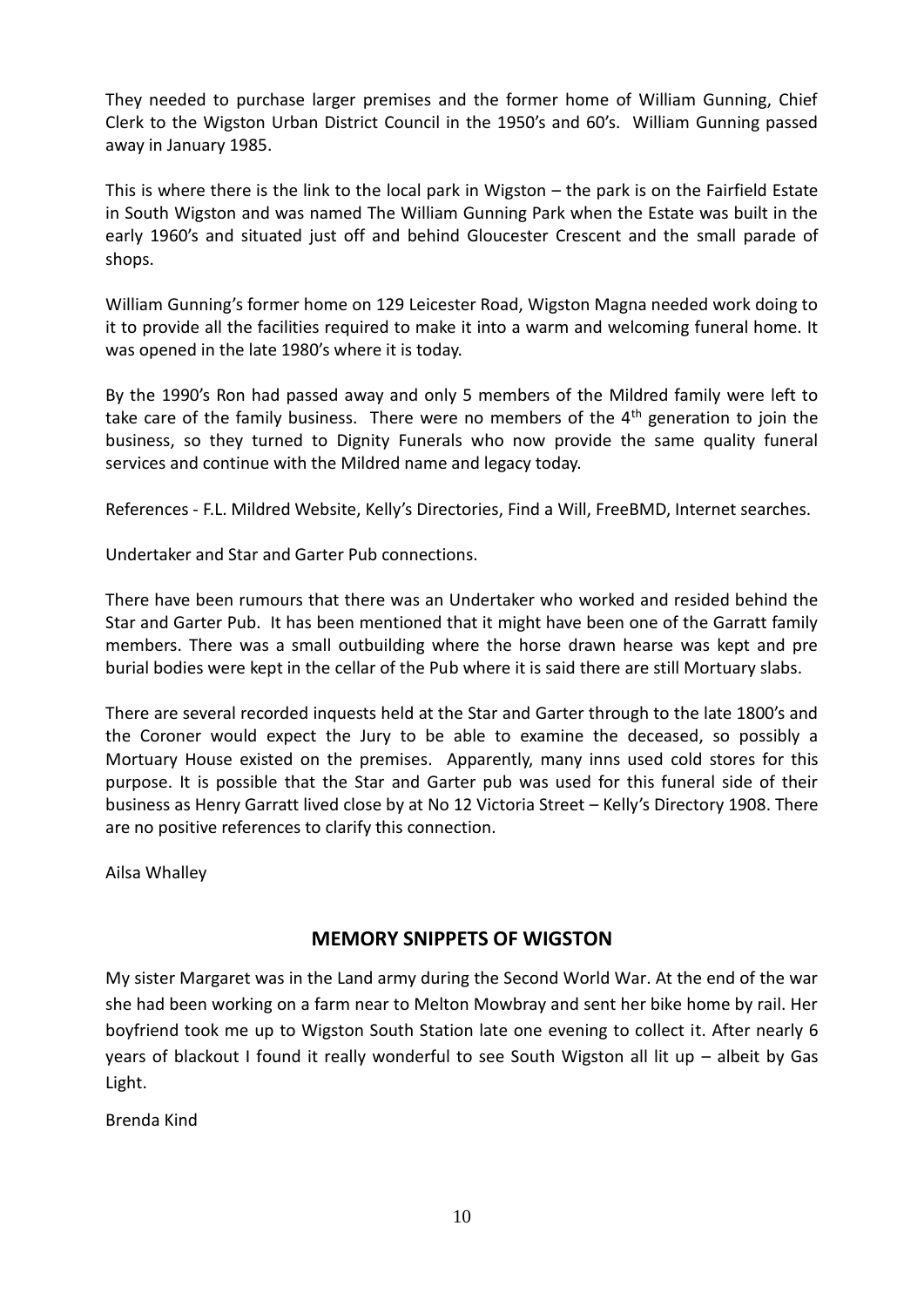They needed to purchase larger premises and the former home of William Gunning, Chief Clerk to the Wigston Urban District Council in the 1950's and 60's. William Gunning passed away in January 1985.

This is where there is the link to the local park in Wigston – the park is on the Fairfield Estate in South Wigston and was named The William Gunning Park when the Estate was built in the early 1960's and situated just off and behind Gloucester Crescent and the small parade of shops.

William Gunning's former home on 129 Leicester Road, Wigston Magna needed work doing to it to provide all the facilities required to make it into a warm and welcoming funeral home. It was opened in the late 1980's where it is today.

By the 1990's Ron had passed away and only 5 members of the Mildred family were left to take care of the family business. There were no members of the 4<sup>th</sup> generation to join the business, so they turned to Dignity Funerals who now provide the same quality funeral services and continue with the Mildred name and legacy today.

References - F.L. Mildred Website, Kelly's Directories, Find a Will, FreeBMD, Internet searches.

Undertaker and Star and Garter Pub connections.

There have been rumours that there was an Undertaker who worked and resided behind the Star and Garter Pub. It has been mentioned that it might have been one of the Garratt family members. There was a small outbuilding where the horse drawn hearse was kept and pre burial bodies were kept in the cellar of the Pub where it is said there are still Mortuary slabs.

There are several recorded inquests held at the Star and Garter through to the late 1800's and the Coroner would expect the Jury to be able to examine the deceased, so possibly a Mortuary House existed on the premises. Apparently, many inns used cold stores for this purpose. It is possible that the Star and Garter pub was used for this funeral side of their business as Henry Garratt lived close by at No 12 Victoria Street – Kelly's Directory 1908. There are no positive references to clarify this connection.

Ailsa Whalley

#### **MEMORY SNIPPETS OF WIGSTON**

My sister Margaret was in the Land army during the Second World War. At the end of the war she had been working on a farm near to Melton Mowbray and sent her bike home by rail. Her boyfriend took me up to Wigston South Station late one evening to collect it. After nearly 6 years of blackout I found it really wonderful to see South Wigston all lit up – albeit by Gas Light.

Brenda Kind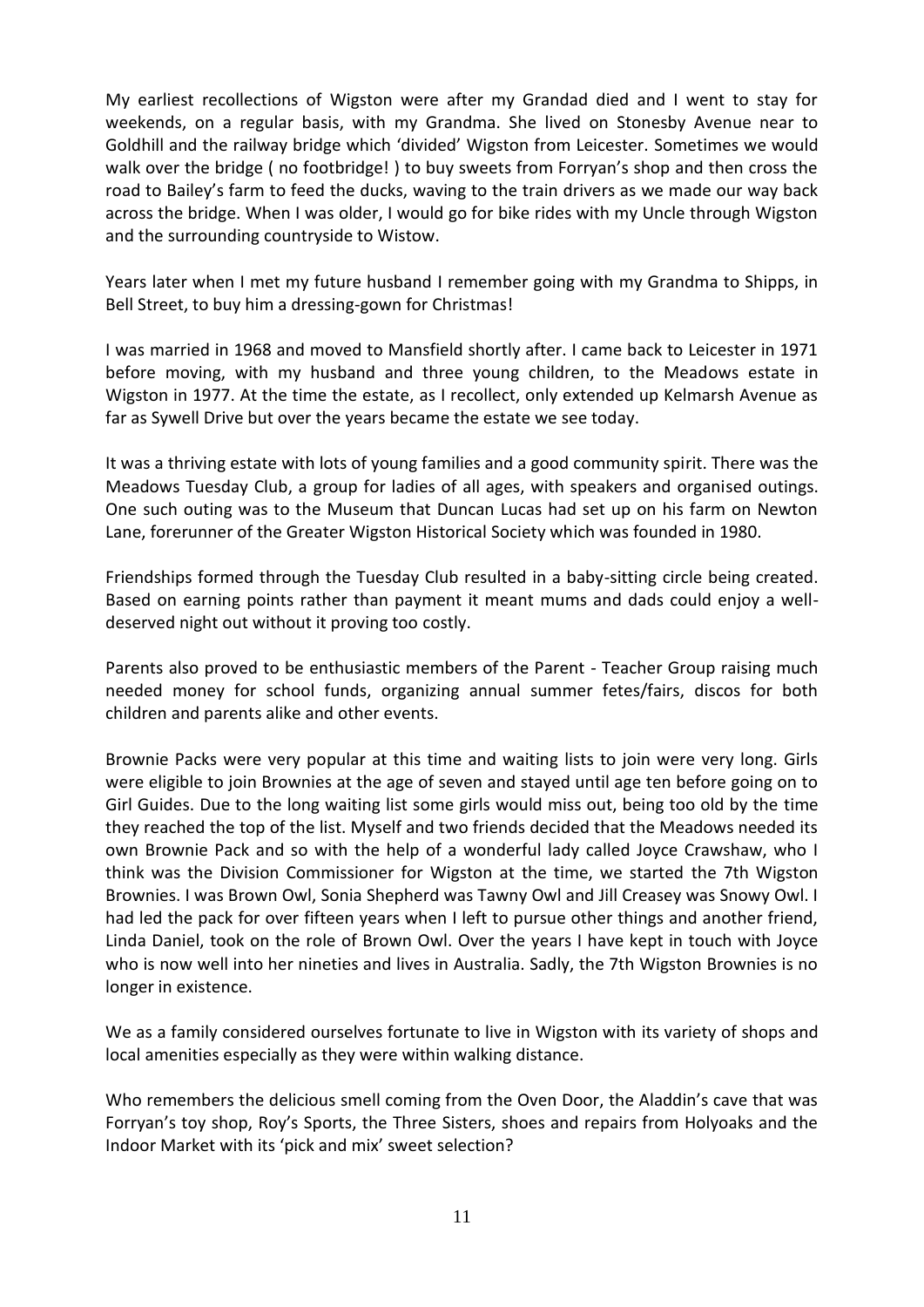My earliest recollections of Wigston were after my Grandad died and I went to stay for weekends, on a regular basis, with my Grandma. She lived on Stonesby Avenue near to Goldhill and the railway bridge which 'divided' Wigston from Leicester. Sometimes we would walk over the bridge ( no footbridge! ) to buy sweets from Forryan's shop and then cross the road to Bailey's farm to feed the ducks, waving to the train drivers as we made our way back across the bridge. When I was older, I would go for bike rides with my Uncle through Wigston and the surrounding countryside to Wistow.

Years later when I met my future husband I remember going with my Grandma to Shipps, in Bell Street, to buy him a dressing-gown for Christmas!

I was married in 1968 and moved to Mansfield shortly after. I came back to Leicester in 1971 before moving, with my husband and three young children, to the Meadows estate in Wigston in 1977. At the time the estate, as I recollect, only extended up Kelmarsh Avenue as far as Sywell Drive but over the years became the estate we see today.

It was a thriving estate with lots of young families and a good community spirit. There was the Meadows Tuesday Club, a group for ladies of all ages, with speakers and organised outings. One such outing was to the Museum that Duncan Lucas had set up on his farm on Newton Lane, forerunner of the Greater Wigston Historical Society which was founded in 1980.

Friendships formed through the Tuesday Club resulted in a baby-sitting circle being created. Based on earning points rather than payment it meant mums and dads could enjoy a welldeserved night out without it proving too costly.

Parents also proved to be enthusiastic members of the Parent - Teacher Group raising much needed money for school funds, organizing annual summer fetes/fairs, discos for both children and parents alike and other events.

Brownie Packs were very popular at this time and waiting lists to join were very long. Girls were eligible to join Brownies at the age of seven and stayed until age ten before going on to Girl Guides. Due to the long waiting list some girls would miss out, being too old by the time they reached the top of the list. Myself and two friends decided that the Meadows needed its own Brownie Pack and so with the help of a wonderful lady called Joyce Crawshaw, who I think was the Division Commissioner for Wigston at the time, we started the 7th Wigston Brownies. I was Brown Owl, Sonia Shepherd was Tawny Owl and Jill Creasey was Snowy Owl. I had led the pack for over fifteen years when I left to pursue other things and another friend, Linda Daniel, took on the role of Brown Owl. Over the years I have kept in touch with Joyce who is now well into her nineties and lives in Australia. Sadly, the 7th Wigston Brownies is no longer in existence.

We as a family considered ourselves fortunate to live in Wigston with its variety of shops and local amenities especially as they were within walking distance.

Who remembers the delicious smell coming from the Oven Door, the Aladdin's cave that was Forryan's toy shop, Roy's Sports, the Three Sisters, shoes and repairs from Holyoaks and the Indoor Market with its 'pick and mix' sweet selection?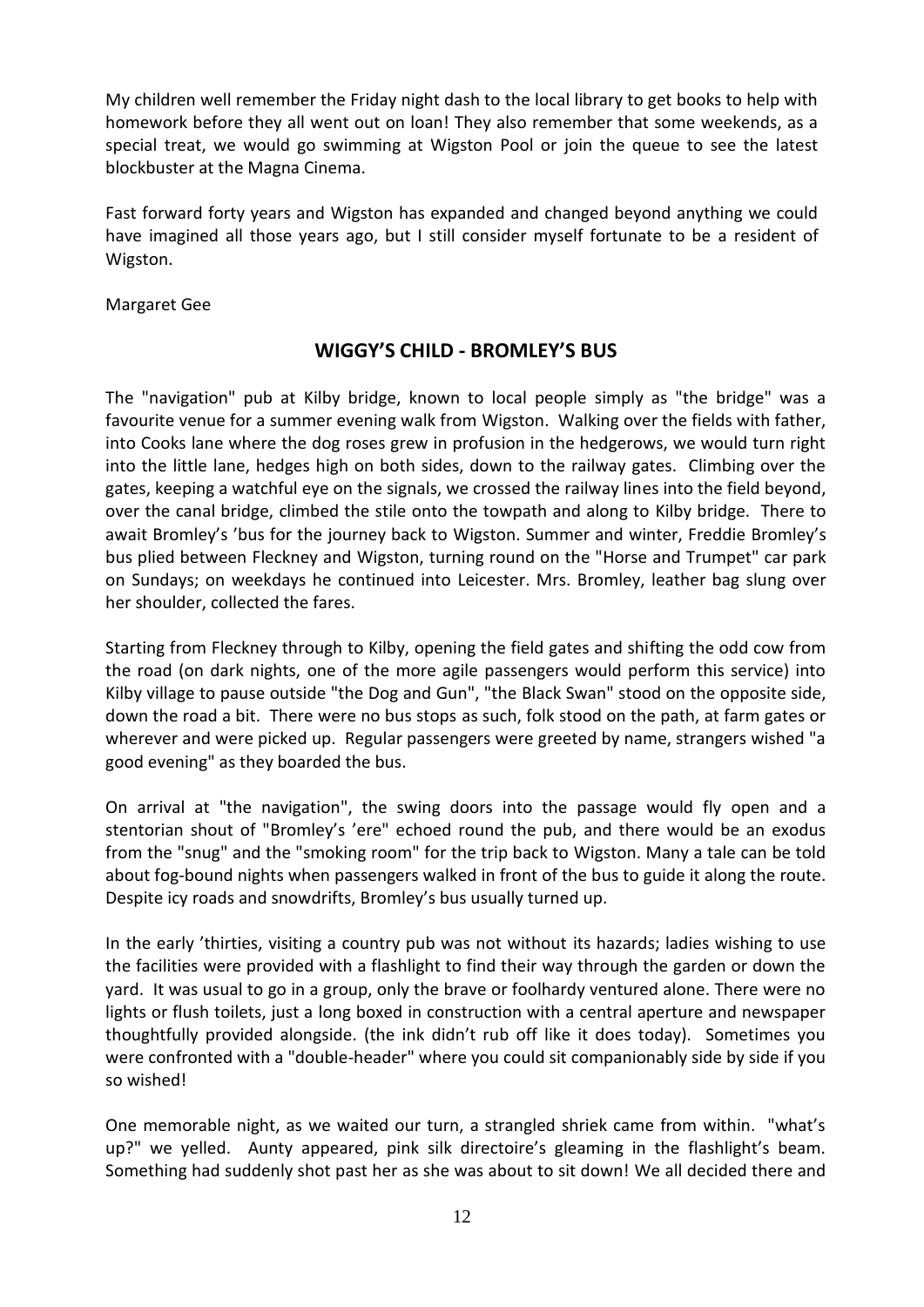My children well remember the Friday night dash to the local library to get books to help with homework before they all went out on loan! They also remember that some weekends, as a special treat, we would go swimming at Wigston Pool or join the queue to see the latest blockbuster at the Magna Cinema.

Fast forward forty years and Wigston has expanded and changed beyond anything we could have imagined all those years ago, but I still consider myself fortunate to be a resident of Wigston.

Margaret Gee

### **WIGGY'S CHILD - BROMLEY'S BUS**

The "navigation" pub at Kilby bridge, known to local people simply as "the bridge" was a favourite venue for a summer evening walk from Wigston. Walking over the fields with father, into Cooks lane where the dog roses grew in profusion in the hedgerows, we would turn right into the little lane, hedges high on both sides, down to the railway gates. Climbing over the gates, keeping a watchful eye on the signals, we crossed the railway lines into the field beyond, over the canal bridge, climbed the stile onto the towpath and along to Kilby bridge. There to await Bromley's 'bus for the journey back to Wigston. Summer and winter, Freddie Bromley's bus plied between Fleckney and Wigston, turning round on the "Horse and Trumpet" car park on Sundays; on weekdays he continued into Leicester. Mrs. Bromley, leather bag slung over her shoulder, collected the fares.

Starting from Fleckney through to Kilby, opening the field gates and shifting the odd cow from the road (on dark nights, one of the more agile passengers would perform this service) into Kilby village to pause outside "the Dog and Gun", "the Black Swan" stood on the opposite side, down the road a bit. There were no bus stops as such, folk stood on the path, at farm gates or wherever and were picked up. Regular passengers were greeted by name, strangers wished "a good evening" as they boarded the bus.

On arrival at "the navigation", the swing doors into the passage would fly open and a stentorian shout of "Bromley's 'ere" echoed round the pub, and there would be an exodus from the "snug" and the "smoking room" for the trip back to Wigston. Many a tale can be told about fog-bound nights when passengers walked in front of the bus to guide it along the route. Despite icy roads and snowdrifts, Bromley's bus usually turned up.

In the early 'thirties, visiting a country pub was not without its hazards; ladies wishing to use the facilities were provided with a flashlight to find their way through the garden or down the yard. It was usual to go in a group, only the brave or foolhardy ventured alone. There were no lights or flush toilets, just a long boxed in construction with a central aperture and newspaper thoughtfully provided alongside. (the ink didn't rub off like it does today). Sometimes you were confronted with a "double-header" where you could sit companionably side by side if you so wished!

One memorable night, as we waited our turn, a strangled shriek came from within. "what's up?" we yelled. Aunty appeared, pink silk directoire's gleaming in the flashlight's beam. Something had suddenly shot past her as she was about to sit down! We all decided there and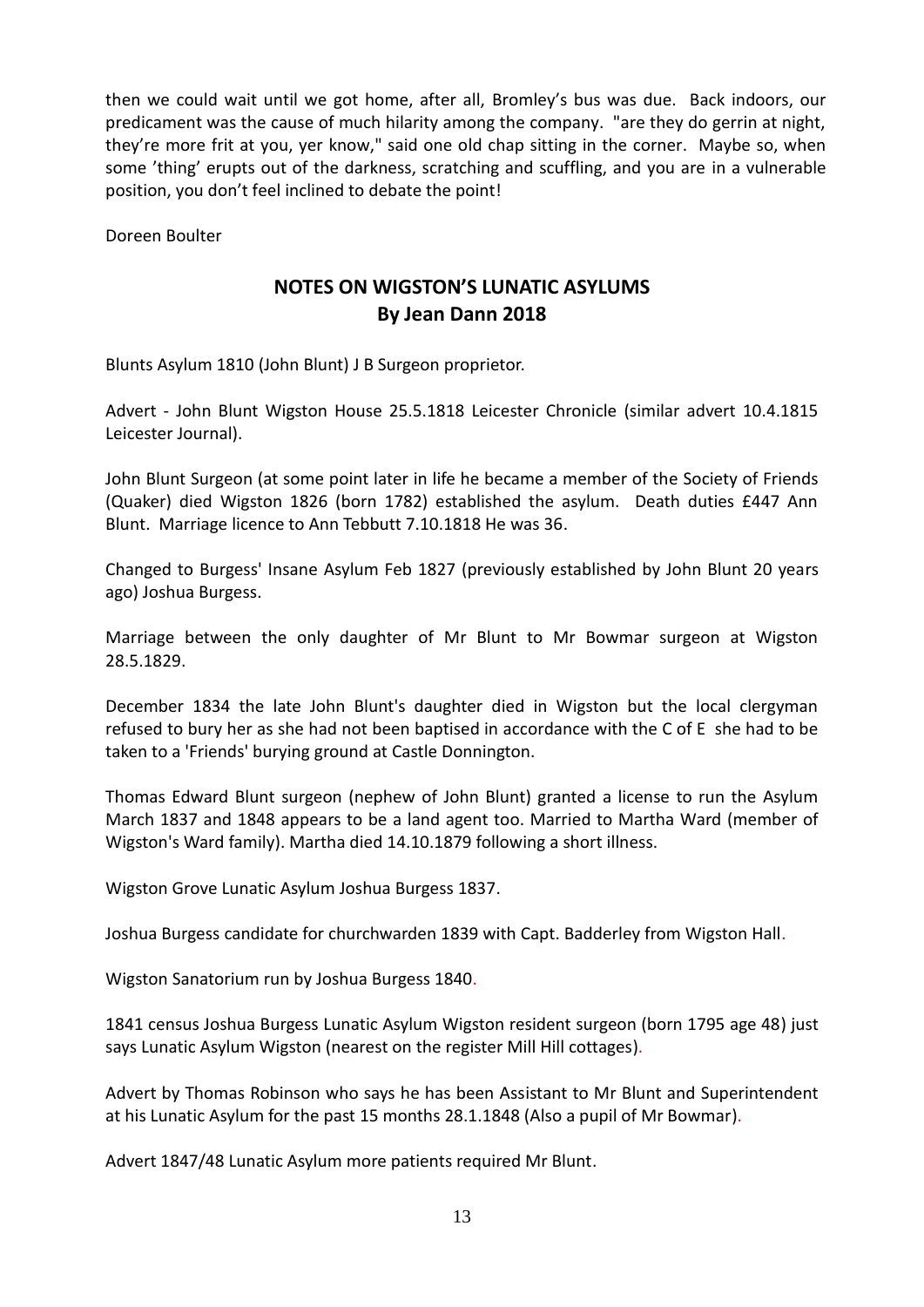then we could wait until we got home, after all, Bromley's bus was due. Back indoors, our predicament was the cause of much hilarity among the company. "are they do gerrin at night, they're more frit at you, yer know," said one old chap sitting in the corner. Maybe so, when some 'thing' erupts out of the darkness, scratching and scuffling, and you are in a vulnerable position, you don't feel inclined to debate the point!

Doreen Boulter

## **NOTES ON WIGSTON'S LUNATIC ASYLUMS By Jean Dann 2018**

Blunts Asylum 1810 (John Blunt) J B Surgeon proprietor.

Advert - John Blunt Wigston House 25.5.1818 Leicester Chronicle (similar advert 10.4.1815 Leicester Journal).

John Blunt Surgeon (at some point later in life he became a member of the Society of Friends (Quaker) died Wigston 1826 (born 1782) established the asylum. Death duties £447 Ann Blunt. Marriage licence to Ann Tebbutt 7.10.1818 He was 36.

Changed to Burgess' Insane Asylum Feb 1827 (previously established by John Blunt 20 years ago) Joshua Burgess.

Marriage between the only daughter of Mr Blunt to Mr Bowmar surgeon at Wigston 28.5.1829.

December 1834 the late John Blunt's daughter died in Wigston but the local clergyman refused to bury her as she had not been baptised in accordance with the C of E she had to be taken to a 'Friends' burying ground at Castle Donnington.

Thomas Edward Blunt surgeon (nephew of John Blunt) granted a license to run the Asylum March 1837 and 1848 appears to be a land agent too. Married to Martha Ward (member of Wigston's Ward family). Martha died 14.10.1879 following a short illness.

Wigston Grove Lunatic Asylum Joshua Burgess 1837.

Joshua Burgess candidate for churchwarden 1839 with Capt. Badderley from Wigston Hall.

Wigston Sanatorium run by Joshua Burgess 1840.

1841 census Joshua Burgess Lunatic Asylum Wigston resident surgeon (born 1795 age 48) just says Lunatic Asylum Wigston (nearest on the register Mill Hill cottages).

Advert by Thomas Robinson who says he has been Assistant to Mr Blunt and Superintendent at his Lunatic Asylum for the past 15 months 28.1.1848 (Also a pupil of Mr Bowmar).

Advert 1847/48 Lunatic Asylum more patients required Mr Blunt.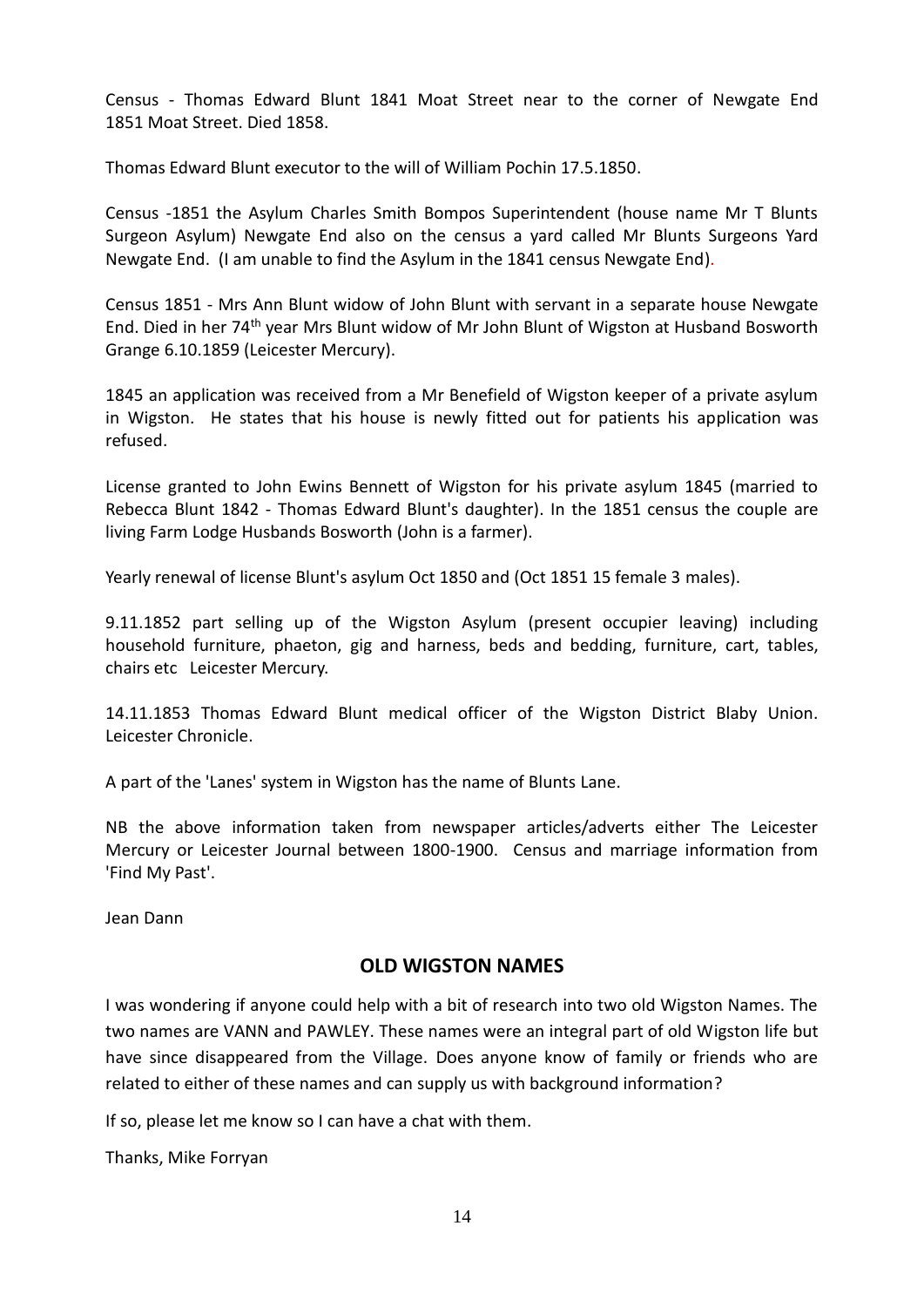Census - Thomas Edward Blunt 1841 Moat Street near to the corner of Newgate End 1851 Moat Street. Died 1858.

Thomas Edward Blunt executor to the will of William Pochin 17.5.1850.

Census -1851 the Asylum Charles Smith Bompos Superintendent (house name Mr T Blunts Surgeon Asylum) Newgate End also on the census a yard called Mr Blunts Surgeons Yard Newgate End. (I am unable to find the Asylum in the 1841 census Newgate End).

Census 1851 - Mrs Ann Blunt widow of John Blunt with servant in a separate house Newgate End. Died in her 74th year Mrs Blunt widow of Mr John Blunt of Wigston at Husband Bosworth Grange 6.10.1859 (Leicester Mercury).

1845 an application was received from a Mr Benefield of Wigston keeper of a private asylum in Wigston. He states that his house is newly fitted out for patients his application was refused.

License granted to John Ewins Bennett of Wigston for his private asylum 1845 (married to Rebecca Blunt 1842 - Thomas Edward Blunt's daughter). In the 1851 census the couple are living Farm Lodge Husbands Bosworth (John is a farmer).

Yearly renewal of license Blunt's asylum Oct 1850 and (Oct 1851 15 female 3 males).

9.11.1852 part selling up of the Wigston Asylum (present occupier leaving) including household furniture, phaeton, gig and harness, beds and bedding, furniture, cart, tables, chairs etc Leicester Mercury.

14.11.1853 Thomas Edward Blunt medical officer of the Wigston District Blaby Union. Leicester Chronicle.

A part of the 'Lanes' system in Wigston has the name of Blunts Lane.

NB the above information taken from newspaper articles/adverts either The Leicester Mercury or Leicester Journal between 1800-1900. Census and marriage information from 'Find My Past'.

Jean Dann

#### **OLD WIGSTON NAMES**

I was wondering if anyone could help with a bit of research into two old Wigston Names. The two names are VANN and PAWLEY. These names were an integral part of old Wigston life but have since disappeared from the Village. Does anyone know of family or friends who are related to either of these names and can supply us with background information?

If so, please let me know so I can have a chat with them.

Thanks, Mike Forryan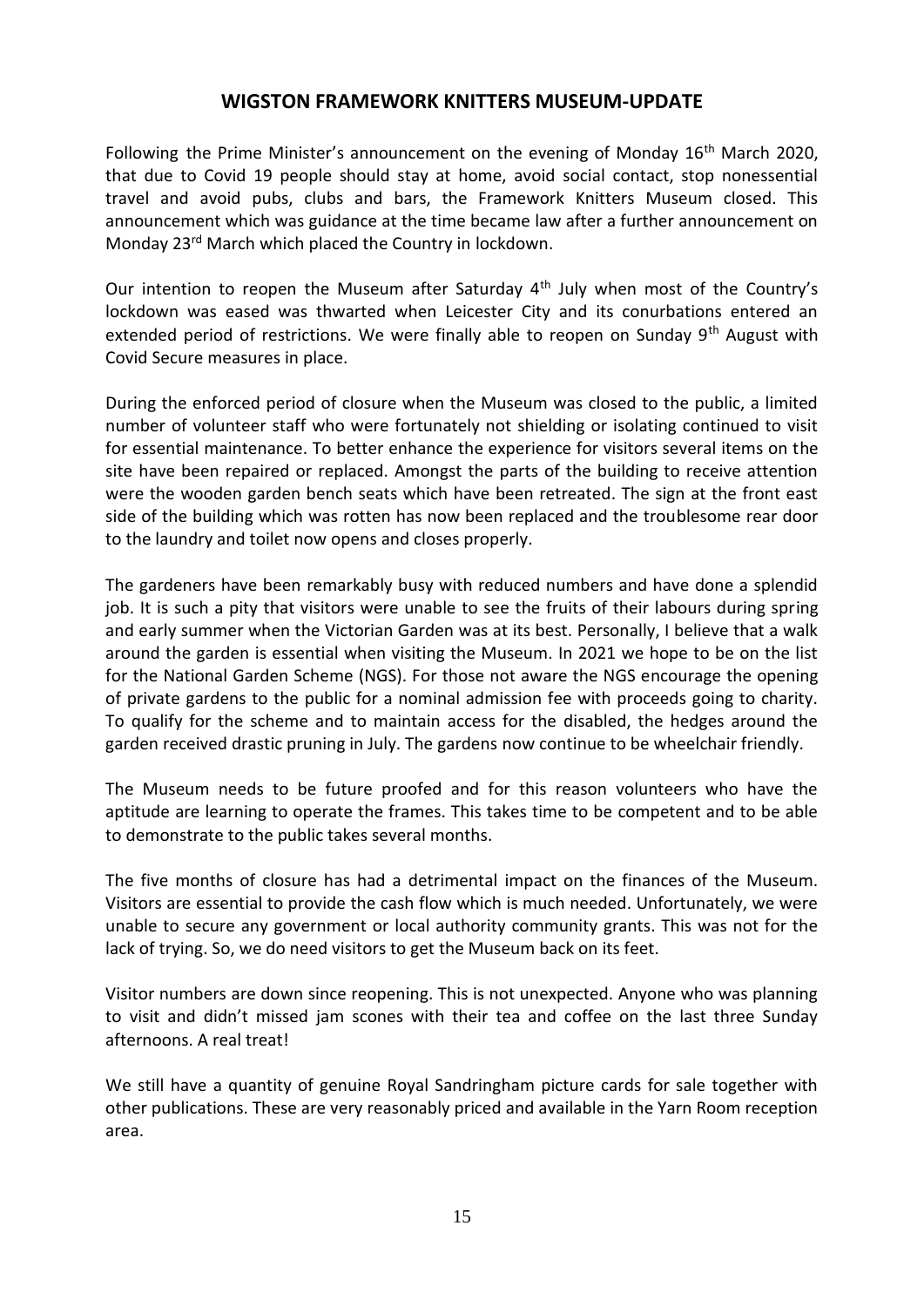### **WIGSTON FRAMEWORK KNITTERS MUSEUM-UPDATE**

Following the Prime Minister's announcement on the evening of Monday  $16<sup>th</sup>$  March 2020, that due to Covid 19 people should stay at home, avoid social contact, stop nonessential travel and avoid pubs, clubs and bars, the Framework Knitters Museum closed. This announcement which was guidance at the time became law after a further announcement on Monday 23rd March which placed the Country in lockdown.

Our intention to reopen the Museum after Saturday 4<sup>th</sup> July when most of the Country's lockdown was eased was thwarted when Leicester City and its conurbations entered an extended period of restrictions. We were finally able to reopen on Sunday 9<sup>th</sup> August with Covid Secure measures in place.

During the enforced period of closure when the Museum was closed to the public, a limited number of volunteer staff who were fortunately not shielding or isolating continued to visit for essential maintenance. To better enhance the experience for visitors several items on the site have been repaired or replaced. Amongst the parts of the building to receive attention were the wooden garden bench seats which have been retreated. The sign at the front east side of the building which was rotten has now been replaced and the troublesome rear door to the laundry and toilet now opens and closes properly.

The gardeners have been remarkably busy with reduced numbers and have done a splendid job. It is such a pity that visitors were unable to see the fruits of their labours during spring and early summer when the Victorian Garden was at its best. Personally, I believe that a walk around the garden is essential when visiting the Museum. In 2021 we hope to be on the list for the National Garden Scheme (NGS). For those not aware the NGS encourage the opening of private gardens to the public for a nominal admission fee with proceeds going to charity. To qualify for the scheme and to maintain access for the disabled, the hedges around the garden received drastic pruning in July. The gardens now continue to be wheelchair friendly.

The Museum needs to be future proofed and for this reason volunteers who have the aptitude are learning to operate the frames. This takes time to be competent and to be able to demonstrate to the public takes several months.

The five months of closure has had a detrimental impact on the finances of the Museum. Visitors are essential to provide the cash flow which is much needed. Unfortunately, we were unable to secure any government or local authority community grants. This was not for the lack of trying. So, we do need visitors to get the Museum back on its feet.

Visitor numbers are down since reopening. This is not unexpected. Anyone who was planning to visit and didn't missed jam scones with their tea and coffee on the last three Sunday afternoons. A real treat!

We still have a quantity of genuine Royal Sandringham picture cards for sale together with other publications. These are very reasonably priced and available in the Yarn Room reception area.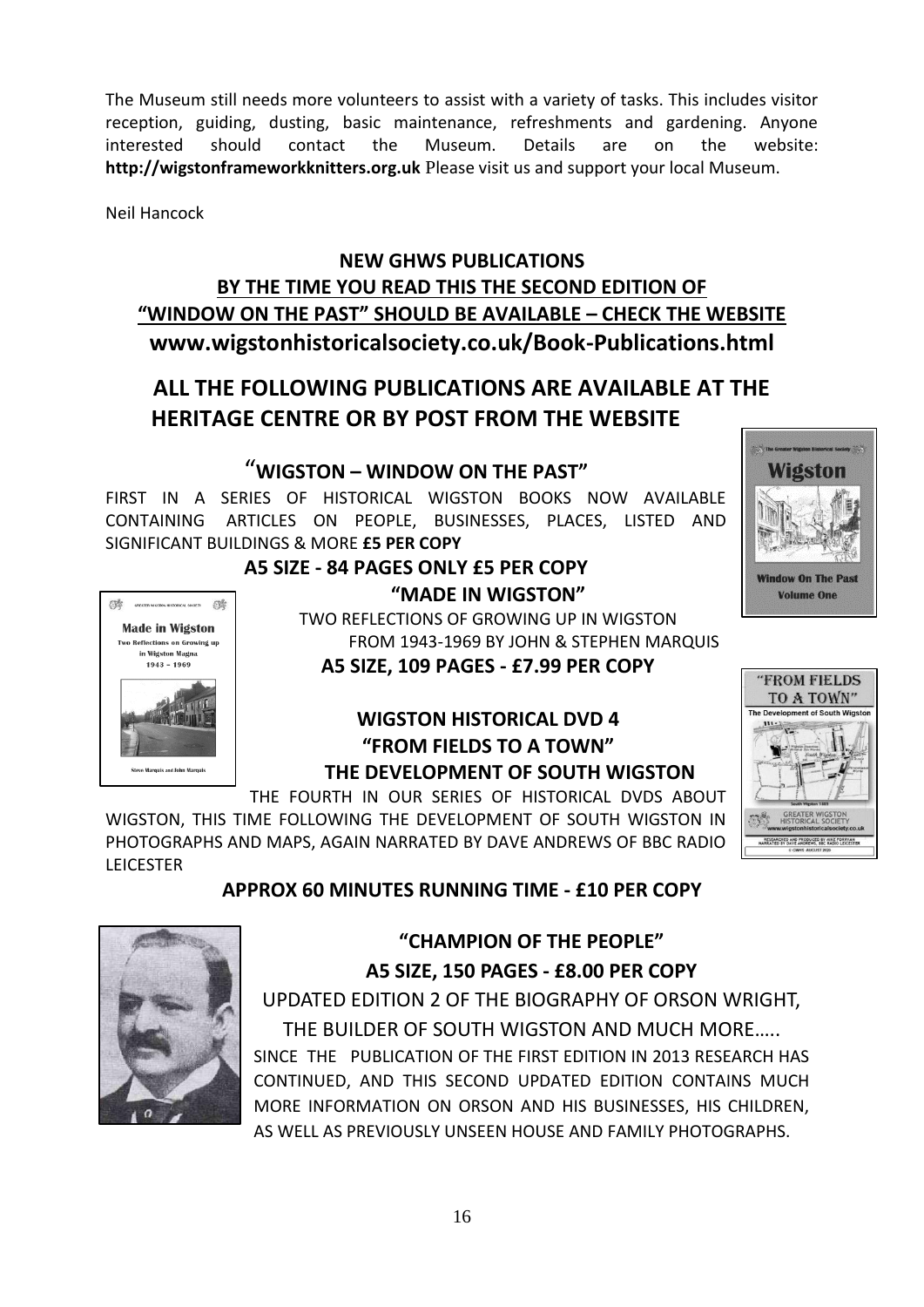The Museum still needs more volunteers to assist with a variety of tasks. This includes visitor reception, guiding, dusting, basic maintenance, refreshments and gardening. Anyone interested should contact the Museum. Details are on the website: **http://wigstonframeworkknitters.org.uk** Please visit us and support your local Museum.

Neil Hancock

## **NEW GHWS PUBLICATIONS BY THE TIME YOU READ THIS THE SECOND EDITION OF "WINDOW ON THE PAST" SHOULD BE AVAILABLE – CHECK THE WEBSITE www.wigstonhistoricalsociety.co.uk/Book-Publications.html**

# **ALL THE FOLLOWING PUBLICATIONS ARE AVAILABLE AT THE HERITAGE CENTRE OR BY POST FROM THE WEBSITE**

## "**WIGSTON – WINDOW ON THE PAST"**

FIRST IN A SERIES OF HISTORICAL WIGSTON BOOKS NOW AVAILABLE CONTAINING ARTICLES ON PEOPLE, BUSINESSES, PLACES, LISTED AND SIGNIFICANT BUILDINGS & MORE **£5 PER COPY**



# **A5 SIZE - 84 PAGES ONLY £5 PER COPY "MADE IN WIGSTON"**

TWO REFLECTIONS OF GROWING UP IN WIGSTON FROM 1943-1969 BY JOHN & STEPHEN MARQUIS

**A5 SIZE, 109 PAGES - £7.99 PER COPY**

## **WIGSTON HISTORICAL DVD 4 "FROM FIELDS TO A TOWN" THE DEVELOPMENT OF SOUTH WIGSTON**

THE FOURTH IN OUR SERIES OF HISTORICAL DVDS ABOUT

WIGSTON, THIS TIME FOLLOWING THE DEVELOPMENT OF SOUTH WIGSTON IN PHOTOGRAPHS AND MAPS, AGAIN NARRATED BY DAVE ANDREWS OF BBC RADIO LEICESTER

## **APPROX 60 MINUTES RUNNING TIME - £10 PER COPY**



# **"CHAMPION OF THE PEOPLE" A5 SIZE, 150 PAGES - £8.00 PER COPY**

UPDATED EDITION 2 OF THE BIOGRAPHY OF ORSON WRIGHT, THE BUILDER OF SOUTH WIGSTON AND MUCH MORE….. SINCE THE PUBLICATION OF THE FIRST EDITION IN 2013 RESEARCH HAS CONTINUED, AND THIS SECOND UPDATED EDITION CONTAINS MUCH MORE INFORMATION ON ORSON AND HIS BUSINESSES, HIS CHILDREN, AS WELL AS PREVIOUSLY UNSEEN HOUSE AND FAMILY PHOTOGRAPHS.



"FROM FIELDS TO A TOWN"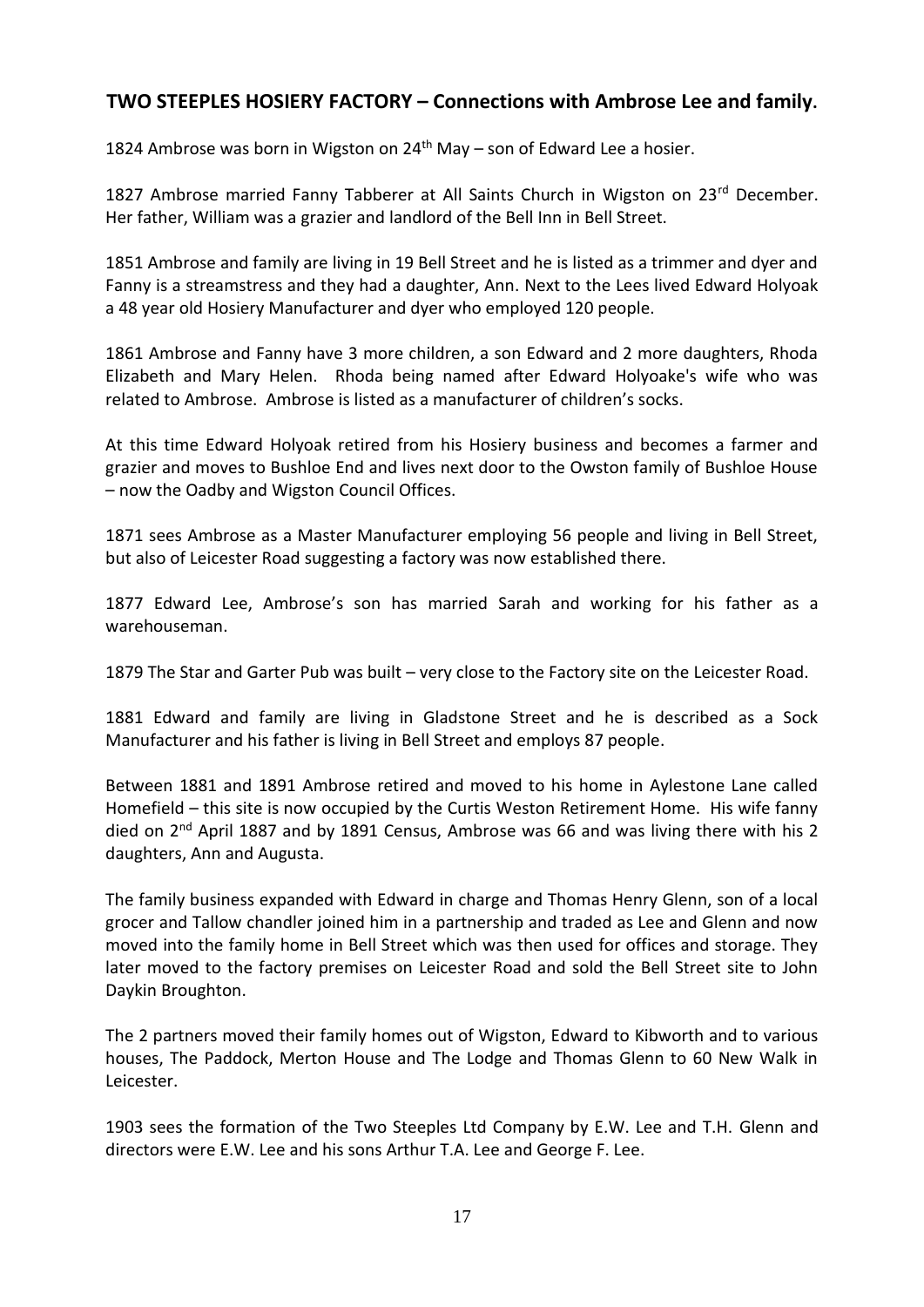## **TWO STEEPLES HOSIERY FACTORY – Connections with Ambrose Lee and family.**

1824 Ambrose was born in Wigston on  $24<sup>th</sup>$  May – son of Edward Lee a hosier.

1827 Ambrose married Fanny Tabberer at All Saints Church in Wigston on 23<sup>rd</sup> December. Her father, William was a grazier and landlord of the Bell Inn in Bell Street.

1851 Ambrose and family are living in 19 Bell Street and he is listed as a trimmer and dyer and Fanny is a streamstress and they had a daughter, Ann. Next to the Lees lived Edward Holyoak a 48 year old Hosiery Manufacturer and dyer who employed 120 people.

1861 Ambrose and Fanny have 3 more children, a son Edward and 2 more daughters, Rhoda Elizabeth and Mary Helen. Rhoda being named after Edward Holyoake's wife who was related to Ambrose. Ambrose is listed as a manufacturer of children's socks.

At this time Edward Holyoak retired from his Hosiery business and becomes a farmer and grazier and moves to Bushloe End and lives next door to the Owston family of Bushloe House – now the Oadby and Wigston Council Offices.

1871 sees Ambrose as a Master Manufacturer employing 56 people and living in Bell Street, but also of Leicester Road suggesting a factory was now established there.

1877 Edward Lee, Ambrose's son has married Sarah and working for his father as a warehouseman.

1879 The Star and Garter Pub was built – very close to the Factory site on the Leicester Road.

1881 Edward and family are living in Gladstone Street and he is described as a Sock Manufacturer and his father is living in Bell Street and employs 87 people.

Between 1881 and 1891 Ambrose retired and moved to his home in Aylestone Lane called Homefield – this site is now occupied by the Curtis Weston Retirement Home. His wife fanny died on  $2<sup>nd</sup>$  April 1887 and by 1891 Census, Ambrose was 66 and was living there with his 2 daughters, Ann and Augusta.

The family business expanded with Edward in charge and Thomas Henry Glenn, son of a local grocer and Tallow chandler joined him in a partnership and traded as Lee and Glenn and now moved into the family home in Bell Street which was then used for offices and storage. They later moved to the factory premises on Leicester Road and sold the Bell Street site to John Daykin Broughton.

The 2 partners moved their family homes out of Wigston, Edward to Kibworth and to various houses, The Paddock, Merton House and The Lodge and Thomas Glenn to 60 New Walk in Leicester.

1903 sees the formation of the Two Steeples Ltd Company by E.W. Lee and T.H. Glenn and directors were E.W. Lee and his sons Arthur T.A. Lee and George F. Lee.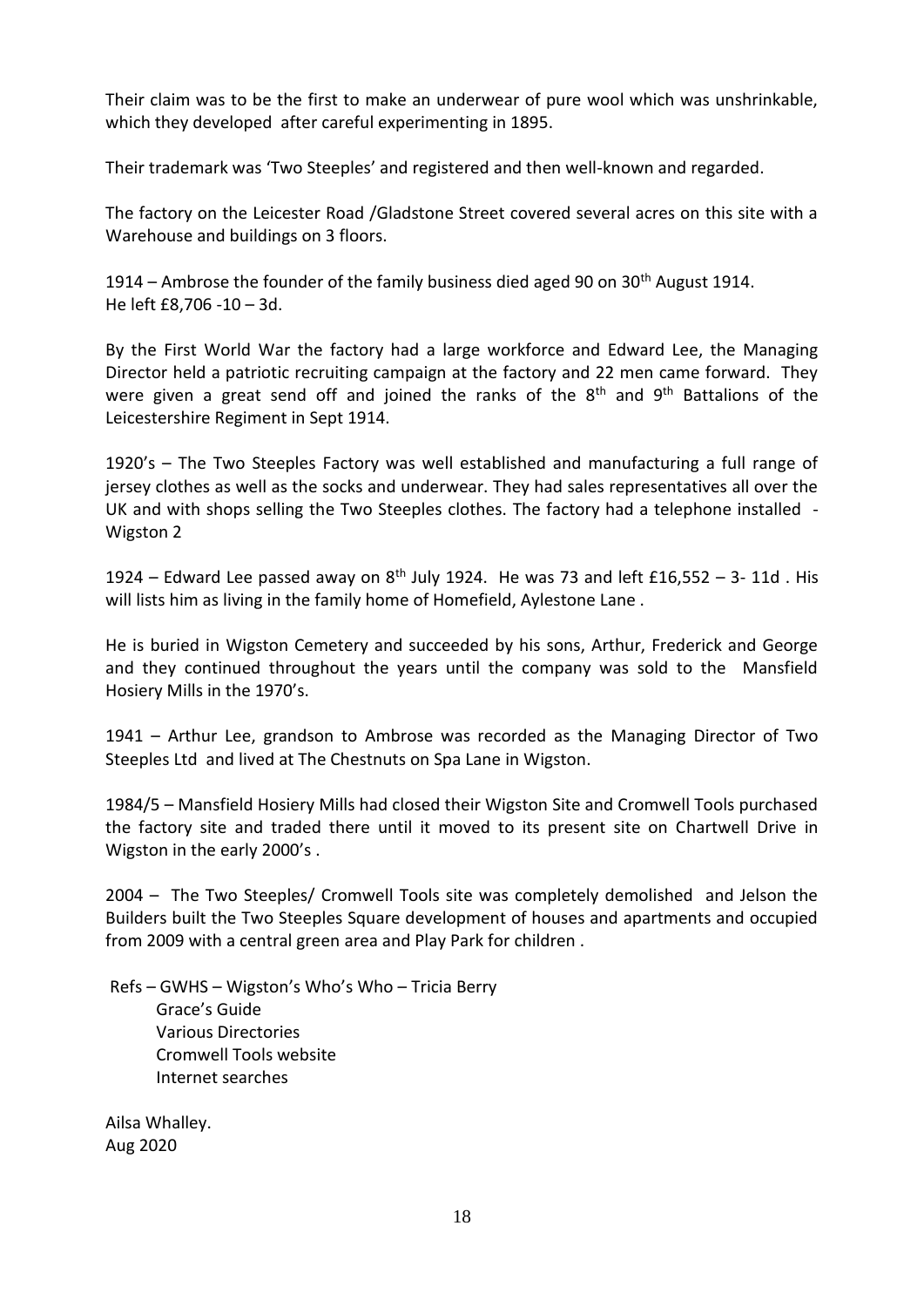Their claim was to be the first to make an underwear of pure wool which was unshrinkable, which they developed after careful experimenting in 1895.

Their trademark was 'Two Steeples' and registered and then well-known and regarded.

The factory on the Leicester Road /Gladstone Street covered several acres on this site with a Warehouse and buildings on 3 floors.

1914 – Ambrose the founder of the family business died aged 90 on  $30<sup>th</sup>$  August 1914. He left £8,706 -10 – 3d.

By the First World War the factory had a large workforce and Edward Lee, the Managing Director held a patriotic recruiting campaign at the factory and 22 men came forward. They were given a great send off and joined the ranks of the  $8<sup>th</sup>$  and  $9<sup>th</sup>$  Battalions of the Leicestershire Regiment in Sept 1914.

1920's – The Two Steeples Factory was well established and manufacturing a full range of jersey clothes as well as the socks and underwear. They had sales representatives all over the UK and with shops selling the Two Steeples clothes. The factory had a telephone installed - Wigston 2

1924 – Edward Lee passed away on  $8<sup>th</sup>$  July 1924. He was 73 and left £16,552 – 3- 11d. His will lists him as living in the family home of Homefield, Aylestone Lane .

He is buried in Wigston Cemetery and succeeded by his sons, Arthur, Frederick and George and they continued throughout the years until the company was sold to the Mansfield Hosiery Mills in the 1970's.

1941 – Arthur Lee, grandson to Ambrose was recorded as the Managing Director of Two Steeples Ltd and lived at The Chestnuts on Spa Lane in Wigston.

1984/5 – Mansfield Hosiery Mills had closed their Wigston Site and Cromwell Tools purchased the factory site and traded there until it moved to its present site on Chartwell Drive in Wigston in the early 2000's .

2004 – The Two Steeples/ Cromwell Tools site was completely demolished and Jelson the Builders built the Two Steeples Square development of houses and apartments and occupied from 2009 with a central green area and Play Park for children .

Refs – GWHS – Wigston's Who's Who – Tricia Berry Grace's Guide Various Directories Cromwell Tools website Internet searches

Ailsa Whalley. Aug 2020